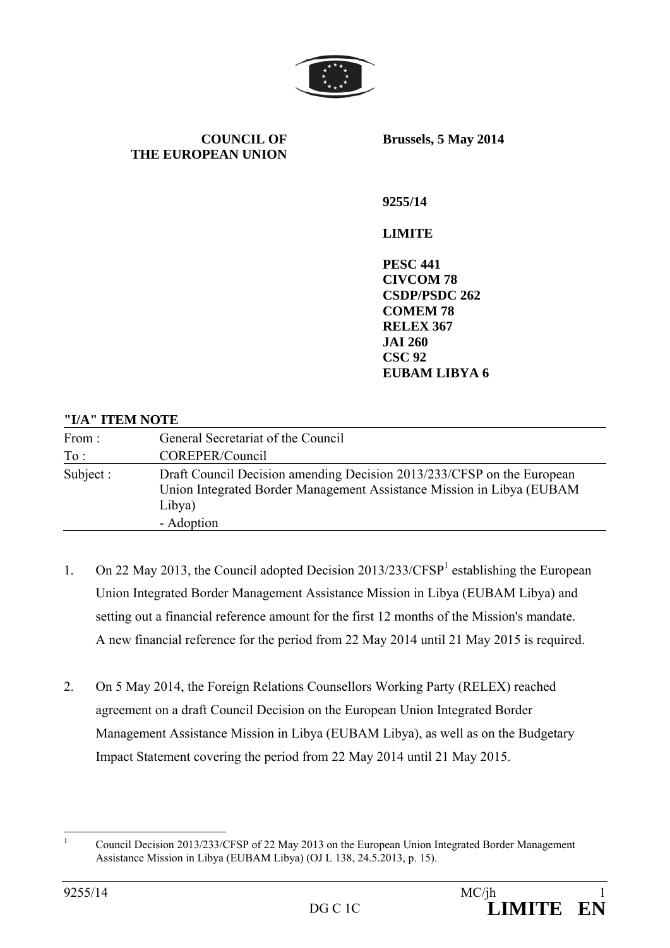

**COUNCIL OF THE EUROPEAN UNION** **Brussels, 5 May 2014** 

**9255/14** 

#### **LIMITE**

**PESC 441 CIVCOM 78 CSDP/PSDC 262 COMEM 78 RELEX 367 JAI 260 CSC 92 EUBAM LIBYA 6** 

#### **"I/A" ITEM NOTE**

| From:     | General Secretariat of the Council                                                                                                                                      |
|-----------|-------------------------------------------------------------------------------------------------------------------------------------------------------------------------|
| To:       | COREPER/Council                                                                                                                                                         |
| Subject : | Draft Council Decision amending Decision 2013/233/CFSP on the European<br>Union Integrated Border Management Assistance Mission in Libya (EUBAM<br>Libya)<br>- Adoption |

- 1. On 22 May 2013, the Council adopted Decision 2013/233/CFSP<sup>1</sup> establishing the European Union Integrated Border Management Assistance Mission in Libya (EUBAM Libya) and setting out a financial reference amount for the first 12 months of the Mission's mandate. A new financial reference for the period from 22 May 2014 until 21 May 2015 is required.
- 2. On 5 May 2014, the Foreign Relations Counsellors Working Party (RELEX) reached agreement on a draft Council Decision on the European Union Integrated Border Management Assistance Mission in Libya (EUBAM Libya), as well as on the Budgetary Impact Statement covering the period from 22 May 2014 until 21 May 2015.

 $\frac{1}{1}$  Council Decision 2013/233/CFSP of 22 May 2013 on the European Union Integrated Border Management Assistance Mission in Libya (EUBAM Libya) (OJ L 138, 24.5.2013, p. 15).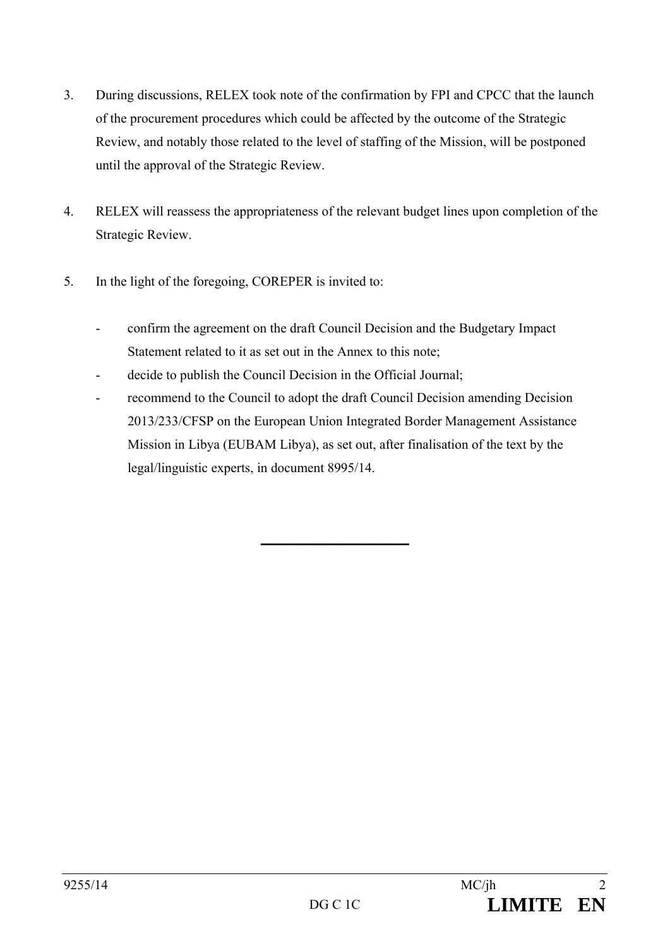- 3. During discussions, RELEX took note of the confirmation by FPI and CPCC that the launch of the procurement procedures which could be affected by the outcome of the Strategic Review, and notably those related to the level of staffing of the Mission, will be postponed until the approval of the Strategic Review.
- 4. RELEX will reassess the appropriateness of the relevant budget lines upon completion of the Strategic Review.
- 5. In the light of the foregoing, COREPER is invited to:
	- confirm the agreement on the draft Council Decision and the Budgetary Impact Statement related to it as set out in the Annex to this note;
	- decide to publish the Council Decision in the Official Journal;
	- recommend to the Council to adopt the draft Council Decision amending Decision 2013/233/CFSP on the European Union Integrated Border Management Assistance Mission in Libya (EUBAM Libya), as set out, after finalisation of the text by the legal/linguistic experts, in document 8995/14.

 $\overline{\phantom{a}}$  , we can also the contract of  $\overline{\phantom{a}}$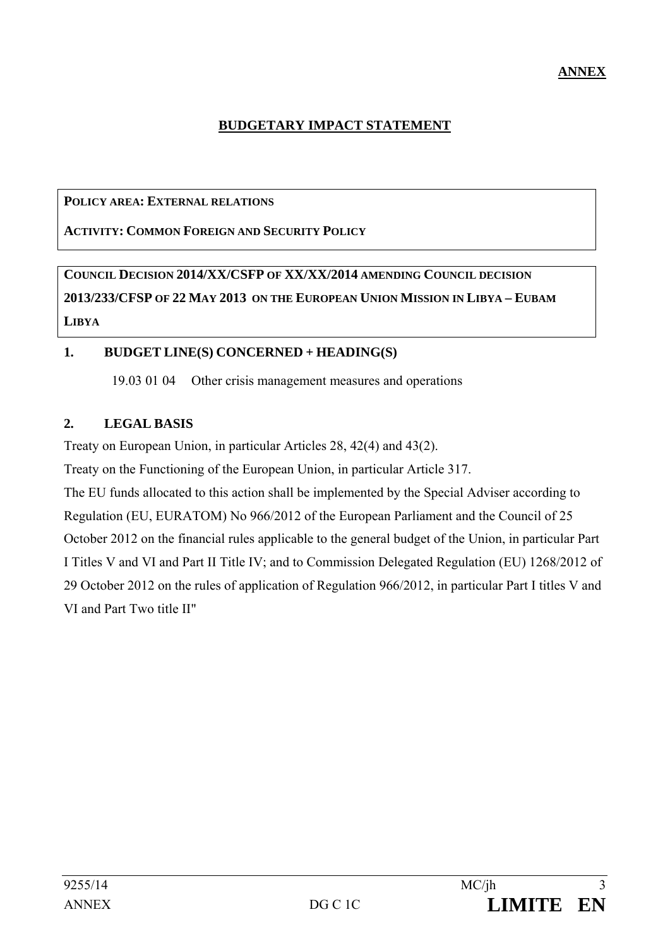### **BUDGETARY IMPACT STATEMENT**

#### **POLICY AREA: EXTERNAL RELATIONS**

**ACTIVITY: COMMON FOREIGN AND SECURITY POLICY**

**COUNCIL DECISION 2014/XX/CSFP OF XX/XX/2014 AMENDING COUNCIL DECISION 2013/233/CFSP OF 22 MAY 2013 ON THE EUROPEAN UNION MISSION IN LIBYA – EUBAM LIBYA**

#### **1. BUDGET LINE(S) CONCERNED + HEADING(S)**

19.03 01 04 Other crisis management measures and operations

### **2. LEGAL BASIS**

Treaty on European Union, in particular Articles 28, 42(4) and 43(2).

Treaty on the Functioning of the European Union, in particular Article 317.

The EU funds allocated to this action shall be implemented by the Special Adviser according to Regulation (EU, EURATOM) No 966/2012 of the European Parliament and the Council of 25 October 2012 on the financial rules applicable to the general budget of the Union, in particular Part I Titles V and VI and Part II Title IV; and to Commission Delegated Regulation (EU) 1268/2012 of 29 October 2012 on the rules of application of Regulation 966/2012, in particular Part I titles V and VI and Part Two title II"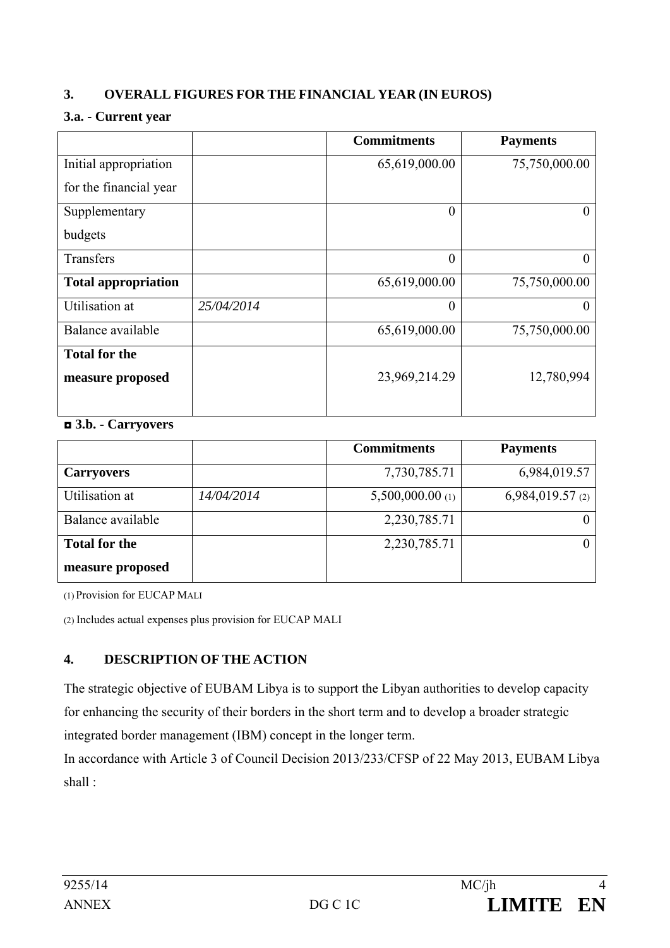# **3. OVERALL FIGURES FOR THE FINANCIAL YEAR (IN EUROS)**

#### **3.a. - Current year**

|                            |            | <b>Commitments</b> | <b>Payments</b> |
|----------------------------|------------|--------------------|-----------------|
| Initial appropriation      |            | 65,619,000.00      | 75,750,000.00   |
| for the financial year     |            |                    |                 |
| Supplementary              |            | $\boldsymbol{0}$   | $\theta$        |
| budgets                    |            |                    |                 |
| Transfers                  |            | $\boldsymbol{0}$   | $\theta$        |
| <b>Total appropriation</b> |            | 65,619,000.00      | 75,750,000.00   |
| Utilisation at             | 25/04/2014 | $\overline{0}$     | $\theta$        |
| Balance available          |            | 65,619,000.00      | 75,750,000.00   |
| <b>Total for the</b>       |            |                    |                 |
| measure proposed           |            | 23,969,214.29      | 12,780,994      |
|                            |            |                    |                 |

#### ◘ **3.b. - Carryovers**

|                      |            | <b>Commitments</b> | <b>Payments</b>    |
|----------------------|------------|--------------------|--------------------|
| <b>Carryovers</b>    |            | 7,730,785.71       | 6,984,019.57       |
| Utilisation at       | 14/04/2014 | $5,500,000.00$ (1) | $6,984,019.57$ (2) |
| Balance available    |            | 2,230,785.71       |                    |
| <b>Total for the</b> |            | 2,230,785.71       |                    |
| measure proposed     |            |                    |                    |

(1) Provision for EUCAP MALI

(2) Includes actual expenses plus provision for EUCAP MALI

# **4. DESCRIPTION OF THE ACTION**

The strategic objective of EUBAM Libya is to support the Libyan authorities to develop capacity for enhancing the security of their borders in the short term and to develop a broader strategic integrated border management (IBM) concept in the longer term.

In accordance with Article 3 of Council Decision 2013/233/CFSP of 22 May 2013, EUBAM Libya shall :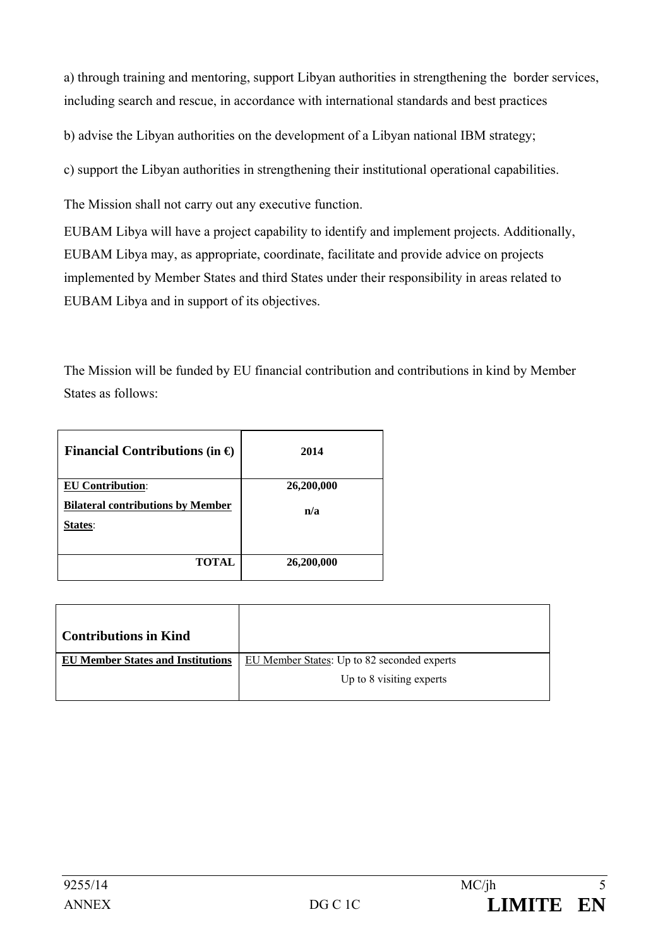a) through training and mentoring, support Libyan authorities in strengthening the border services, including search and rescue, in accordance with international standards and best practices

b) advise the Libyan authorities on the development of a Libyan national IBM strategy;

c) support the Libyan authorities in strengthening their institutional operational capabilities.

The Mission shall not carry out any executive function.

EUBAM Libya will have a project capability to identify and implement projects. Additionally, EUBAM Libya may, as appropriate, coordinate, facilitate and provide advice on projects implemented by Member States and third States under their responsibility in areas related to EUBAM Libya and in support of its objectives.

The Mission will be funded by EU financial contribution and contributions in kind by Member States as follows:

| Financial Contributions (in $\Theta$ )                                                | 2014              |
|---------------------------------------------------------------------------------------|-------------------|
| <b>EU Contribution:</b><br><b>Bilateral contributions by Member</b><br><b>States:</b> | 26,200,000<br>n/a |
| <b>TOTAL</b>                                                                          | 26,200,000        |

| <b>Contributions in Kind</b>             |                                             |
|------------------------------------------|---------------------------------------------|
| <b>EU Member States and Institutions</b> | EU Member States: Up to 82 seconded experts |
|                                          | Up to 8 visiting experts                    |
|                                          |                                             |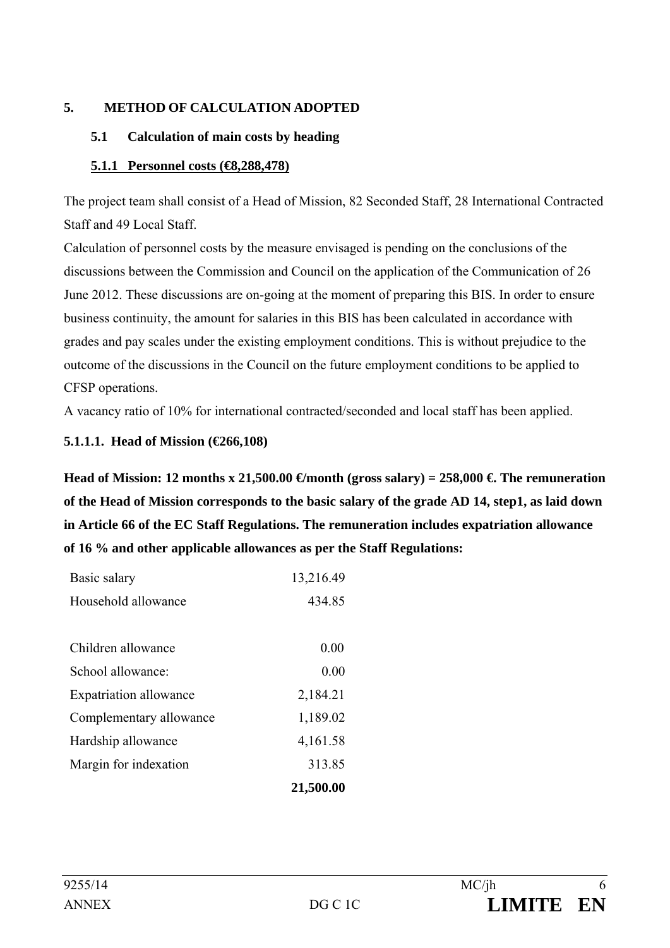### **5. METHOD OF CALCULATION ADOPTED**

#### **5.1 Calculation of main costs by heading**

#### **5.1.1 Personnel costs (€8,288,478)**

The project team shall consist of a Head of Mission, 82 Seconded Staff, 28 International Contracted Staff and 49 Local Staff.

Calculation of personnel costs by the measure envisaged is pending on the conclusions of the discussions between the Commission and Council on the application of the Communication of 26 June 2012. These discussions are on-going at the moment of preparing this BIS. In order to ensure business continuity, the amount for salaries in this BIS has been calculated in accordance with grades and pay scales under the existing employment conditions. This is without prejudice to the outcome of the discussions in the Council on the future employment conditions to be applied to CFSP operations.

A vacancy ratio of 10% for international contracted/seconded and local staff has been applied.

#### **5.1.1.1. Head of Mission (€266,108)**

Head of Mission: 12 months x 21,500.00  $\epsilon$  month (gross salary) = 258,000  $\epsilon$ . The remuneration **of the Head of Mission corresponds to the basic salary of the grade AD 14, step1, as laid down in Article 66 of the EC Staff Regulations. The remuneration includes expatriation allowance of 16 % and other applicable allowances as per the Staff Regulations:** 

| Basic salary                  | 13,216.49 |
|-------------------------------|-----------|
| Household allowance           | 434.85    |
|                               |           |
| Children allowance            | 0.00      |
| School allowance:             | 0.00      |
| <b>Expatriation allowance</b> | 2,184.21  |
| Complementary allowance       | 1,189.02  |
| Hardship allowance            | 4,161.58  |
| Margin for indexation         | 313.85    |
|                               | 21,500.00 |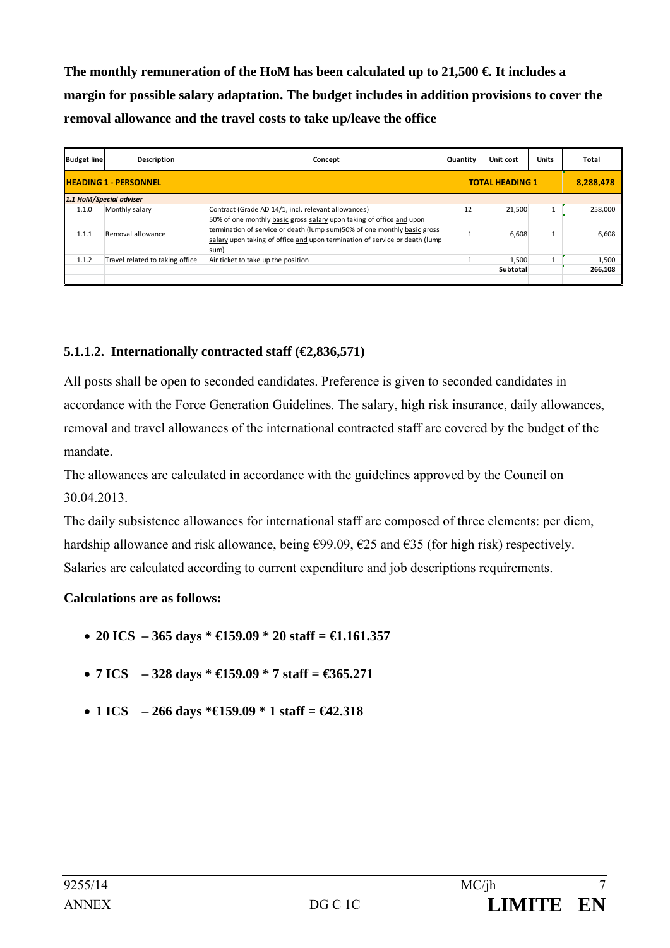The monthly remuneration of the HoM has been calculated up to  $21,500 \in \mathbb{I}$  is includes a **margin for possible salary adaptation. The budget includes in addition provisions to cover the removal allowance and the travel costs to take up/leave the office** 

| <b>Budget line</b> | Description                     | Concept                                                                                                                                                                                                                                 | Quantity | Unit cost              | <b>Units</b> | Total     |
|--------------------|---------------------------------|-----------------------------------------------------------------------------------------------------------------------------------------------------------------------------------------------------------------------------------------|----------|------------------------|--------------|-----------|
|                    | <b>HEADING 1 - PERSONNEL</b>    |                                                                                                                                                                                                                                         |          | <b>TOTAL HEADING 1</b> |              | 8,288,478 |
|                    | 1.1 HoM/Special adviser         |                                                                                                                                                                                                                                         |          |                        |              |           |
| 1.1.0              | Monthly salary                  | Contract (Grade AD 14/1, incl. relevant allowances)                                                                                                                                                                                     | 12       | 21,500                 |              | 258,000   |
| 1.1.1              | Removal allowance               | 50% of one monthly basic gross salary upon taking of office and upon<br>termination of service or death (lump sum)50% of one monthly basic gross<br>salary upon taking of office and upon termination of service or death (lump<br>sum) |          | 6.608                  |              | 6,608     |
| 1.1.2              | Travel related to taking office | Air ticket to take up the position                                                                                                                                                                                                      |          | 1,500                  |              | 1,500     |
|                    |                                 |                                                                                                                                                                                                                                         |          | Subtotal               |              | 266,108   |
|                    |                                 |                                                                                                                                                                                                                                         |          |                        |              |           |

# **5.1.1.2. Internationally contracted staff (€2,836,571)**

All posts shall be open to seconded candidates. Preference is given to seconded candidates in accordance with the Force Generation Guidelines. The salary, high risk insurance, daily allowances, removal and travel allowances of the international contracted staff are covered by the budget of the mandate.

The allowances are calculated in accordance with the guidelines approved by the Council on 30.04.2013.

The daily subsistence allowances for international staff are composed of three elements: per diem, hardship allowance and risk allowance, being  $\epsilon$ 99.09,  $\epsilon$ 25 and  $\epsilon$ 35 (for high risk) respectively. Salaries are calculated according to current expenditure and job descriptions requirements.

### **Calculations are as follows:**

- **20 ICS 365 days \* €159.09 \* 20 staff = €1.161.357**
- **7 ICS 328 days \* €159.09 \* 7 staff = €365.271**
- **1 ICS 266 days \*€159.09 \* 1 staff = €42.318**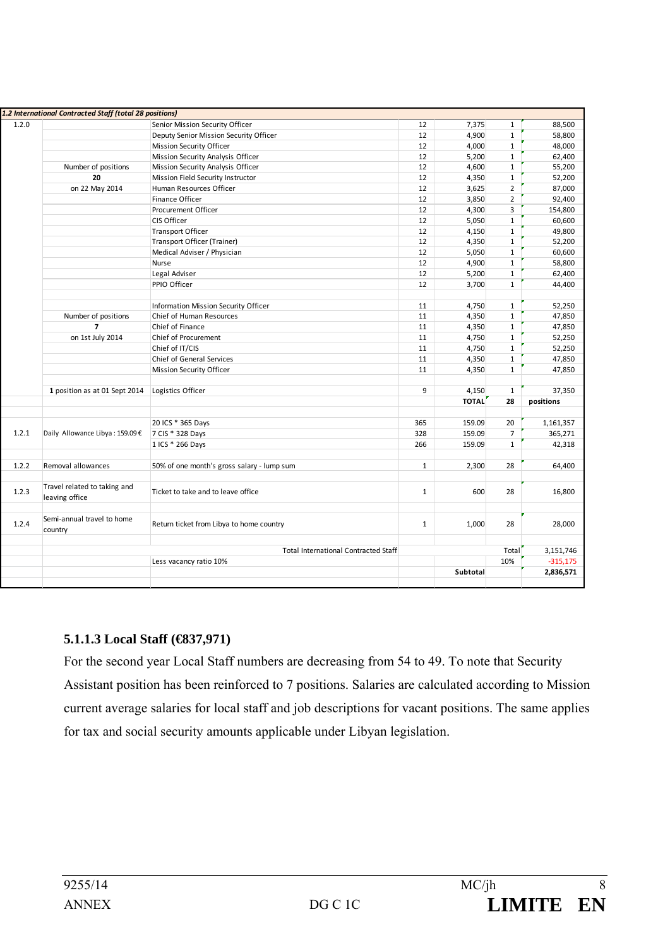|       | 1.2 International Contracted Staff (total 28 positions) |                                             |              |                 |                |            |
|-------|---------------------------------------------------------|---------------------------------------------|--------------|-----------------|----------------|------------|
| 1.2.0 |                                                         | Senior Mission Security Officer             | 12           | 7,375           | $\mathbf{1}$   | 88,500     |
|       |                                                         | Deputy Senior Mission Security Officer      | 12           | 4,900           | $\mathbf{1}$   | 58,800     |
|       |                                                         | <b>Mission Security Officer</b>             | 12           | 4,000           | $\mathbf{1}$   | 48,000     |
|       |                                                         | Mission Security Analysis Officer           | 12           | 5,200           | $\mathbf{1}$   | 62,400     |
|       | Number of positions                                     | Mission Security Analysis Officer           | 12           | 4,600           | $\mathbf{1}$   | 55,200     |
|       | 20                                                      | Mission Field Security Instructor           | 12           | 4,350           | $\mathbf{1}$   | 52,200     |
|       | on 22 May 2014                                          | Human Resources Officer                     | 12           | 3,625           | $\overline{2}$ | 87,000     |
|       |                                                         | Finance Officer                             | 12           | 3,850           | $\overline{2}$ | 92,400     |
|       |                                                         | Procurement Officer                         | 12           | 4,300           | 3              | 154,800    |
|       |                                                         | CIS Officer                                 | 12           | 5,050           | $\mathbf{1}$   | 60,600     |
|       |                                                         | <b>Transport Officer</b>                    | 12           | 4,150           | $\mathbf{1}$   | 49,800     |
|       |                                                         | Transport Officer (Trainer)                 | 12           | 4,350           | $\mathbf{1}$   | 52,200     |
|       |                                                         | Medical Adviser / Physician                 | 12           | 5,050           | $\mathbf{1}$   | 60,600     |
|       |                                                         | Nurse                                       | 12           | 4,900           | $\mathbf{1}$   | 58,800     |
|       |                                                         | Legal Adviser                               | 12           | 5,200           | $\mathbf{1}$   | 62,400     |
|       |                                                         | PPIO Officer                                | 12           | 3,700           | $\mathbf{1}$   | 44,400     |
|       |                                                         |                                             |              |                 |                |            |
|       |                                                         | Information Mission Security Officer        | 11           | 4,750           | $\mathbf{1}$   | 52,250     |
|       | Number of positions                                     | Chief of Human Resources                    | 11           | 4,350           | $\mathbf{1}$   | 47,850     |
|       | $\overline{ }$                                          | Chief of Finance                            | 11           | 4,350           | $\mathbf{1}$   | 47,850     |
|       | on 1st July 2014                                        | Chief of Procurement                        | 11           | 4,750           | $\mathbf{1}$   | 52,250     |
|       |                                                         | Chief of IT/CIS                             | 11           | 4,750           | $\mathbf{1}$   | 52,250     |
|       |                                                         | <b>Chief of General Services</b>            | 11           | 4,350           | $\mathbf{1}$   | 47,850     |
|       |                                                         | <b>Mission Security Officer</b>             | 11           | 4,350           | $\mathbf{1}$   | 47,850     |
|       |                                                         |                                             |              |                 |                |            |
|       | 1 position as at 01 Sept 2014                           | Logistics Officer                           | 9            | 4,150           | $\mathbf{1}$   | 37,350     |
|       |                                                         |                                             |              | <b>TOTAL</b>    | 28             | positions  |
|       |                                                         |                                             |              |                 |                |            |
|       |                                                         | 20 ICS * 365 Days                           | 365          | 159.09          | 20             | 1,161,357  |
| 1.2.1 | Daily Allowance Libya: 159.09€                          | 7 CIS * 328 Days                            | 328          | 159.09          | $\overline{7}$ | 365,271    |
|       |                                                         | 1 ICS * 266 Days                            | 266          | 159.09          | $\mathbf{1}$   | 42,318     |
|       |                                                         |                                             |              |                 |                |            |
| 1.2.2 | Removal allowances                                      | 50% of one month's gross salary - lump sum  | $\mathbf{1}$ | 2,300           | 28             | 64,400     |
|       |                                                         |                                             |              |                 |                |            |
|       | Travel related to taking and                            |                                             |              |                 |                |            |
| 1.2.3 | leaving office                                          | Ticket to take and to leave office          | $\mathbf{1}$ | 600             | 28             | 16,800     |
|       |                                                         |                                             |              |                 |                |            |
|       | Semi-annual travel to home                              |                                             |              |                 |                |            |
| 1.2.4 | country                                                 | Return ticket from Libya to home country    | $\mathbf{1}$ | 1,000           | 28             | 28,000     |
|       |                                                         |                                             |              |                 |                |            |
|       |                                                         | <b>Total International Contracted Staff</b> |              |                 | Total          | 3,151,746  |
|       |                                                         | Less vacancy ratio 10%                      |              |                 | 10%            | $-315,175$ |
|       |                                                         |                                             |              | <b>Subtotal</b> |                | 2,836,571  |
|       |                                                         |                                             |              |                 |                |            |

### **5.1.1.3 Local Staff (€837,971)**

For the second year Local Staff numbers are decreasing from 54 to 49. To note that Security Assistant position has been reinforced to 7 positions. Salaries are calculated according to Mission current average salaries for local staff and job descriptions for vacant positions. The same applies for tax and social security amounts applicable under Libyan legislation.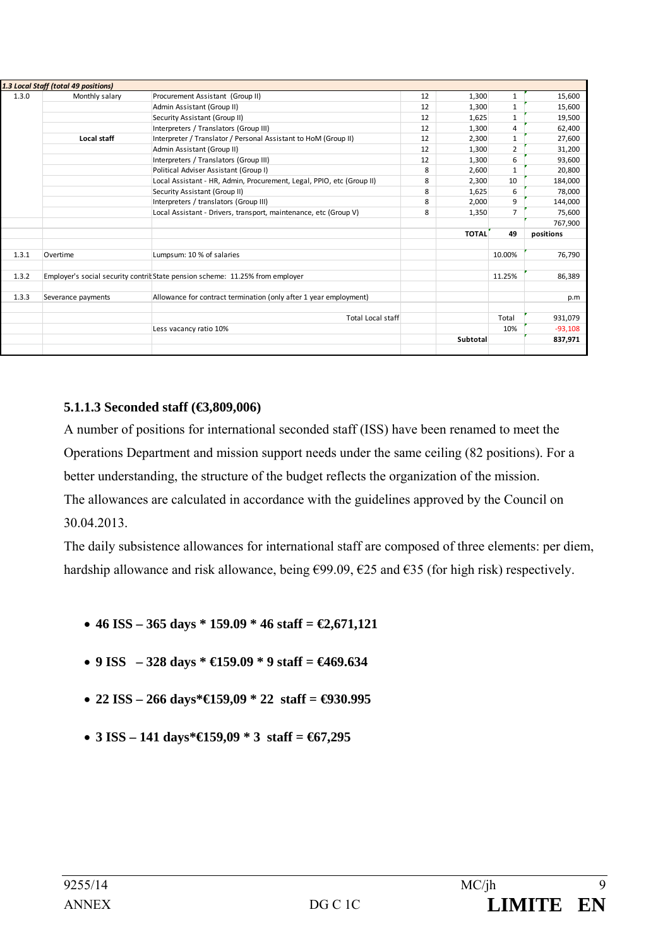|       | 1.3 Local Staff (total 49 positions) |                                                                               |    |                 |              |           |
|-------|--------------------------------------|-------------------------------------------------------------------------------|----|-----------------|--------------|-----------|
| 1.3.0 | Monthly salary                       | Procurement Assistant (Group II)                                              | 12 | 1,300           | 1            | 15,600    |
|       |                                      | Admin Assistant (Group II)                                                    | 12 | 1,300           | 1            | 15,600    |
|       |                                      | Security Assistant (Group II)                                                 | 12 | 1,625           | $\mathbf{1}$ | 19,500    |
|       |                                      | Interpreters / Translators (Group III)                                        | 12 | 1,300           | 4            | 62,400    |
|       | Local staff                          | Interpreter / Translator / Personal Assistant to HoM (Group II)               | 12 | 2,300           |              | 27,600    |
|       |                                      | Admin Assistant (Group II)                                                    | 12 | 1,300           | 2            | 31,200    |
|       |                                      | Interpreters / Translators (Group III)                                        | 12 | 1,300           | 6            | 93,600    |
|       |                                      | Political Adviser Assistant (Group I)                                         | 8  | 2,600           |              | 20,800    |
|       |                                      | Local Assistant - HR, Admin, Procurement, Legal, PPIO, etc (Group II)         | 8  | 2,300           | 10           | 184,000   |
|       |                                      | Security Assistant (Group II)                                                 | 8  | 1,625           | 6            | 78,000    |
|       |                                      | Interpreters / translators (Group III)                                        | 8  | 2,000           | 9            | 144,000   |
|       |                                      | Local Assistant - Drivers, transport, maintenance, etc (Group V)              | 8  | 1,350           | 7            | 75,600    |
|       |                                      |                                                                               |    |                 |              | 767,900   |
|       |                                      |                                                                               |    | <b>TOTAL</b>    | 49           | positions |
|       |                                      |                                                                               |    |                 |              |           |
| 1.3.1 | Overtime                             | Lumpsum: 10 % of salaries                                                     |    |                 | 10.00%       | 76,790    |
|       |                                      |                                                                               |    |                 |              |           |
| 1.3.2 |                                      | Employer's social security contrit State pension scheme: 11.25% from employer |    |                 | 11.25%       | 86,389    |
|       |                                      |                                                                               |    |                 |              |           |
| 1.3.3 | Severance payments                   | Allowance for contract termination (only after 1 year employment)             |    |                 |              | p.m       |
|       |                                      |                                                                               |    |                 |              |           |
|       |                                      | <b>Total Local staff</b>                                                      |    |                 | Total        | 931,079   |
|       |                                      | Less vacancy ratio 10%                                                        |    |                 | 10%          | $-93,108$ |
|       |                                      |                                                                               |    | <b>Subtotal</b> |              | 837,971   |
|       |                                      |                                                                               |    |                 |              |           |
|       |                                      |                                                                               |    |                 |              |           |

### **5.1.1.3 Seconded staff (€3,809,006)**

A number of positions for international seconded staff (ISS) have been renamed to meet the Operations Department and mission support needs under the same ceiling (82 positions). For a better understanding, the structure of the budget reflects the organization of the mission. The allowances are calculated in accordance with the guidelines approved by the Council on 30.04.2013.

The daily subsistence allowances for international staff are composed of three elements: per diem, hardship allowance and risk allowance, being €99.09, €25 and €35 (for high risk) respectively.

- **46 ISS 365 days \* 159.09 \* 46 staff = €2,671,121**
- **9 ISS 328 days \* €159.09 \* 9 staff = €469.634**
- **22 ISS 266 days\*€159,09 \* 22 staff = €930.995**
- **3 ISS 141 days\*€159,09 \* 3 staff = €67,295**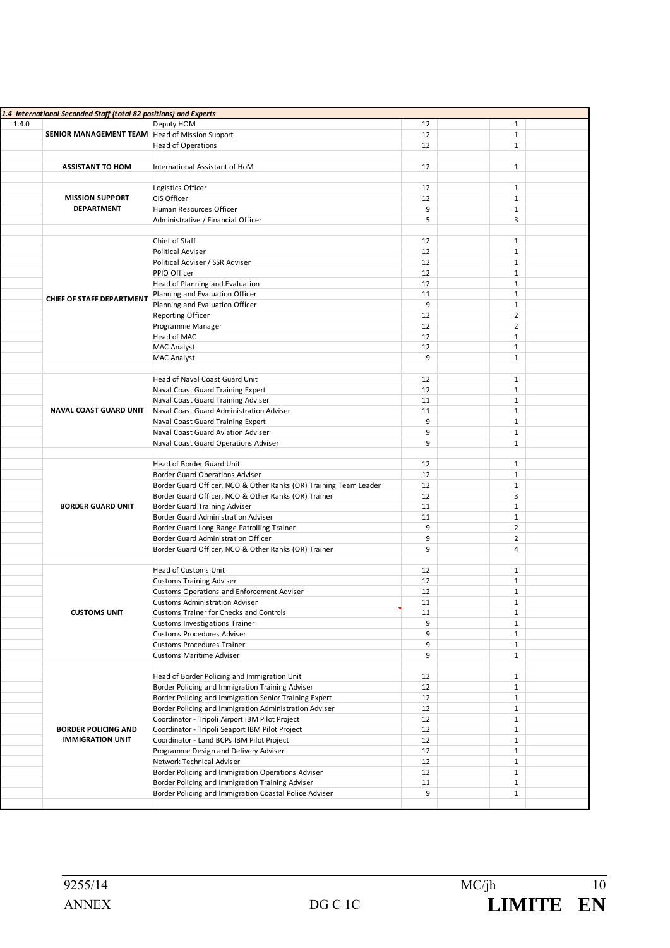| 1.4 International Seconded Staff (total 82 positions) and Experts |                                                       |                                                                   |    |  |                |  |
|-------------------------------------------------------------------|-------------------------------------------------------|-------------------------------------------------------------------|----|--|----------------|--|
| 1.4.0                                                             |                                                       | Deputy HOM                                                        | 12 |  | $\mathbf{1}$   |  |
|                                                                   | <b>SENIOR MANAGEMENT TEAM Head of Mission Support</b> |                                                                   | 12 |  | $\mathbf{1}$   |  |
|                                                                   |                                                       | <b>Head of Operations</b>                                         | 12 |  | $\mathbf{1}$   |  |
|                                                                   |                                                       |                                                                   |    |  |                |  |
|                                                                   | <b>ASSISTANT TO HOM</b>                               | International Assistant of HoM                                    | 12 |  | $\mathbf{1}$   |  |
|                                                                   |                                                       |                                                                   |    |  |                |  |
|                                                                   |                                                       |                                                                   |    |  |                |  |
|                                                                   |                                                       | Logistics Officer                                                 | 12 |  | $\mathbf{1}$   |  |
|                                                                   | <b>MISSION SUPPORT</b>                                | CIS Officer                                                       | 12 |  | $\mathbf{1}$   |  |
|                                                                   | <b>DEPARTMENT</b>                                     | Human Resources Officer                                           | 9  |  | $\mathbf{1}$   |  |
|                                                                   |                                                       | Administrative / Financial Officer                                | 5  |  | 3              |  |
|                                                                   |                                                       |                                                                   |    |  |                |  |
|                                                                   |                                                       | Chief of Staff                                                    | 12 |  | $\mathbf{1}$   |  |
|                                                                   |                                                       | <b>Political Adviser</b>                                          | 12 |  | $\mathbf{1}$   |  |
|                                                                   |                                                       | Political Adviser / SSR Adviser                                   | 12 |  | $\mathbf{1}$   |  |
|                                                                   | <b>CHIEF OF STAFF DEPARTMENT</b>                      | PPIO Officer                                                      | 12 |  | $\mathbf{1}$   |  |
|                                                                   |                                                       | Head of Planning and Evaluation                                   | 12 |  | $\mathbf{1}$   |  |
|                                                                   |                                                       | Planning and Evaluation Officer                                   | 11 |  | $\mathbf{1}$   |  |
|                                                                   |                                                       | Planning and Evaluation Officer                                   | 9  |  | $\mathbf{1}$   |  |
|                                                                   |                                                       | Reporting Officer                                                 | 12 |  | $\overline{2}$ |  |
|                                                                   |                                                       | Programme Manager                                                 | 12 |  | $\overline{2}$ |  |
|                                                                   |                                                       |                                                                   |    |  | $\mathbf{1}$   |  |
|                                                                   |                                                       | Head of MAC                                                       | 12 |  |                |  |
|                                                                   |                                                       | MAC Analyst                                                       | 12 |  | $\mathbf{1}$   |  |
|                                                                   |                                                       | <b>MAC Analyst</b>                                                | 9  |  | $\mathbf{1}$   |  |
|                                                                   |                                                       |                                                                   |    |  |                |  |
|                                                                   |                                                       | Head of Naval Coast Guard Unit                                    | 12 |  | $\mathbf{1}$   |  |
|                                                                   |                                                       | Naval Coast Guard Training Expert                                 | 12 |  | $\mathbf{1}$   |  |
|                                                                   | <b>NAVAL COAST GUARD UNIT</b>                         | Naval Coast Guard Training Adviser                                | 11 |  | $\mathbf{1}$   |  |
|                                                                   |                                                       | Naval Coast Guard Administration Adviser                          | 11 |  | $\mathbf{1}$   |  |
|                                                                   |                                                       | Naval Coast Guard Training Expert                                 | 9  |  | $\mathbf{1}$   |  |
|                                                                   |                                                       | Naval Coast Guard Aviation Adviser                                | 9  |  | $\mathbf{1}$   |  |
|                                                                   |                                                       | Naval Coast Guard Operations Adviser                              | 9  |  | $\mathbf{1}$   |  |
|                                                                   |                                                       |                                                                   |    |  |                |  |
|                                                                   |                                                       | Head of Border Guard Unit                                         | 12 |  | $\mathbf{1}$   |  |
|                                                                   |                                                       | Border Guard Operations Adviser                                   | 12 |  | $\mathbf{1}$   |  |
|                                                                   |                                                       | Border Guard Officer, NCO & Other Ranks (OR) Training Team Leader | 12 |  | $\mathbf{1}$   |  |
|                                                                   |                                                       | Border Guard Officer, NCO & Other Ranks (OR) Trainer              | 12 |  | 3              |  |
|                                                                   | <b>BORDER GUARD UNIT</b>                              |                                                                   |    |  |                |  |
|                                                                   |                                                       | Border Guard Training Adviser                                     | 11 |  | $\mathbf{1}$   |  |
|                                                                   |                                                       | Border Guard Administration Adviser                               | 11 |  | $\mathbf{1}$   |  |
|                                                                   |                                                       | Border Guard Long Range Patrolling Trainer                        | 9  |  | $\overline{2}$ |  |
|                                                                   |                                                       | Border Guard Administration Officer                               | 9  |  | $\overline{2}$ |  |
|                                                                   |                                                       | Border Guard Officer, NCO & Other Ranks (OR) Trainer              | 9  |  | 4              |  |
|                                                                   |                                                       |                                                                   |    |  |                |  |
|                                                                   |                                                       | Head of Customs Unit                                              | 12 |  | $\mathbf{1}$   |  |
|                                                                   |                                                       | <b>Customs Training Adviser</b>                                   | 12 |  | $\mathbf{1}$   |  |
|                                                                   |                                                       | Customs Operations and Enforcement Adviser                        | 12 |  | $\mathbf{1}$   |  |
|                                                                   |                                                       | <b>Customs Administration Adviser</b>                             | 11 |  | $\mathbf{1}$   |  |
|                                                                   | <b>CUSTOMS UNIT</b>                                   | Customs Trainer for Checks and Controls                           | 11 |  | $\mathbf 1$    |  |
|                                                                   |                                                       | Customs Investigations Trainer                                    | 9  |  | 1              |  |
|                                                                   |                                                       | <b>Customs Procedures Adviser</b>                                 | 9  |  | $\mathbf{1}$   |  |
|                                                                   |                                                       | Customs Procedures Trainer                                        | 9  |  | $\mathbf{1}$   |  |
|                                                                   |                                                       | <b>Customs Maritime Adviser</b>                                   | 9  |  | $\mathbf{1}$   |  |
|                                                                   |                                                       |                                                                   |    |  |                |  |
|                                                                   |                                                       |                                                                   |    |  |                |  |
|                                                                   |                                                       | Head of Border Policing and Immigration Unit                      | 12 |  | $\mathbf{1}$   |  |
|                                                                   |                                                       | Border Policing and Immigration Training Adviser                  | 12 |  | $\mathbf{1}$   |  |
|                                                                   |                                                       | Border Policing and Immigration Senior Training Expert            | 12 |  | $\mathbf{1}$   |  |
|                                                                   |                                                       | Border Policing and Immigration Administration Adviser            | 12 |  | $\mathbf{1}$   |  |
|                                                                   |                                                       | Coordinator - Tripoli Airport IBM Pilot Project                   | 12 |  | $\mathbf{1}$   |  |
|                                                                   | <b>BORDER POLICING AND</b>                            | Coordinator - Tripoli Seaport IBM Pilot Project                   | 12 |  | $\mathbf{1}$   |  |
|                                                                   | <b>IMMIGRATION UNIT</b>                               | Coordinator - Land BCPs IBM Pilot Project                         | 12 |  | $\mathbf{1}$   |  |
|                                                                   |                                                       | Programme Design and Delivery Adviser                             | 12 |  | $\mathbf{1}$   |  |
|                                                                   |                                                       | Network Technical Adviser                                         | 12 |  | $\mathbf{1}$   |  |
|                                                                   |                                                       | Border Policing and Immigration Operations Adviser                | 12 |  | $\mathbf{1}$   |  |
|                                                                   |                                                       | Border Policing and Immigration Training Adviser                  | 11 |  | $\mathbf{1}$   |  |
|                                                                   |                                                       | Border Policing and Immigration Coastal Police Adviser            | 9  |  | $\mathbf{1}$   |  |
|                                                                   |                                                       |                                                                   |    |  |                |  |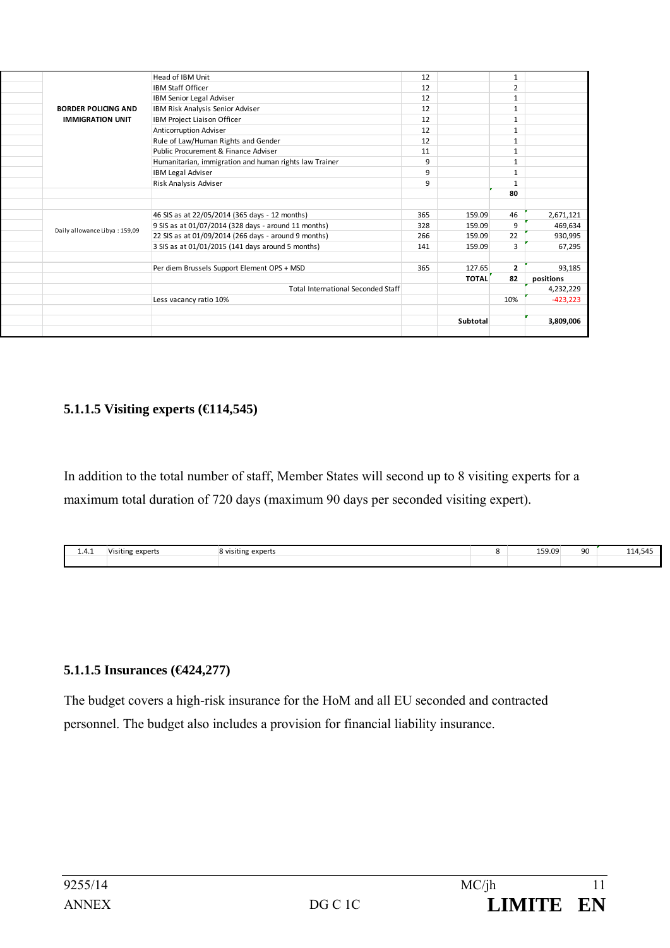|                               | Head of IBM Unit                                       | 12  |              | 1              |            |
|-------------------------------|--------------------------------------------------------|-----|--------------|----------------|------------|
|                               | <b>IBM Staff Officer</b>                               | 12  |              | $\overline{2}$ |            |
|                               | IBM Senior Legal Adviser                               | 12  |              | $\mathbf{1}$   |            |
| <b>BORDER POLICING AND</b>    | IBM Risk Analysis Senior Adviser                       | 12  |              | 1              |            |
| <b>IMMIGRATION UNIT</b>       | IBM Project Liaison Officer                            | 12  |              | $\mathbf{1}$   |            |
|                               | Anticorruption Adviser                                 | 12  |              | $\mathbf{1}$   |            |
|                               | Rule of Law/Human Rights and Gender                    | 12  |              | $\mathbf{1}$   |            |
|                               | Public Procurement & Finance Adviser                   | 11  |              | $\mathbf{1}$   |            |
|                               | Humanitarian, immigration and human rights law Trainer | 9   |              | $\mathbf{1}$   |            |
|                               | <b>IBM Legal Adviser</b>                               | 9   |              | 1              |            |
|                               | Risk Analysis Adviser                                  | 9   |              | $\mathbf{1}$   |            |
|                               |                                                        |     |              | 80             |            |
|                               |                                                        |     |              |                |            |
|                               | 46 SIS as at 22/05/2014 (365 days - 12 months)         | 365 | 159.09       | 46             | 2,671,121  |
|                               | 9 SIS as at 01/07/2014 (328 days - around 11 months)   | 328 | 159.09       | 9              | 469,634    |
| Daily allowance Libya: 159,09 | 22 SIS as at 01/09/2014 (266 days - around 9 months)   | 266 | 159.09       | 22             | 930,995    |
|                               | 3 SIS as at 01/01/2015 (141 days around 5 months)      | 141 | 159.09       | 3              | 67,295     |
|                               |                                                        |     |              |                |            |
|                               | Per diem Brussels Support Element OPS + MSD            | 365 | 127.65       | $\overline{2}$ | 93,185     |
|                               |                                                        |     | <b>TOTAL</b> | 82             | positions  |
|                               | <b>Total International Seconded Staff</b>              |     |              |                | 4,232,229  |
|                               | Less vacancy ratio 10%                                 |     |              | 10%            | $-423,223$ |
|                               |                                                        |     |              |                |            |
|                               |                                                        |     | Subtotal     |                | 3,809,006  |
|                               |                                                        |     |              |                |            |

#### **5.1.1.5 Visiting experts (€114,545)**

In addition to the total number of staff, Member States will second up to 8 visiting experts for a maximum total duration of 720 days (maximum 90 days per seconded visiting expert).

| .<br>1.4.1 | .<br>experts<br>Visiting | .<br><b>B</b> visiting experts | 159.09<br>___ | 90 | 114,545<br>$\overline{\phantom{a}}$ |
|------------|--------------------------|--------------------------------|---------------|----|-------------------------------------|
|            |                          |                                |               |    |                                     |

#### **5.1.1.5 Insurances (€424,277)**

The budget covers a high-risk insurance for the HoM and all EU seconded and contracted personnel. The budget also includes a provision for financial liability insurance.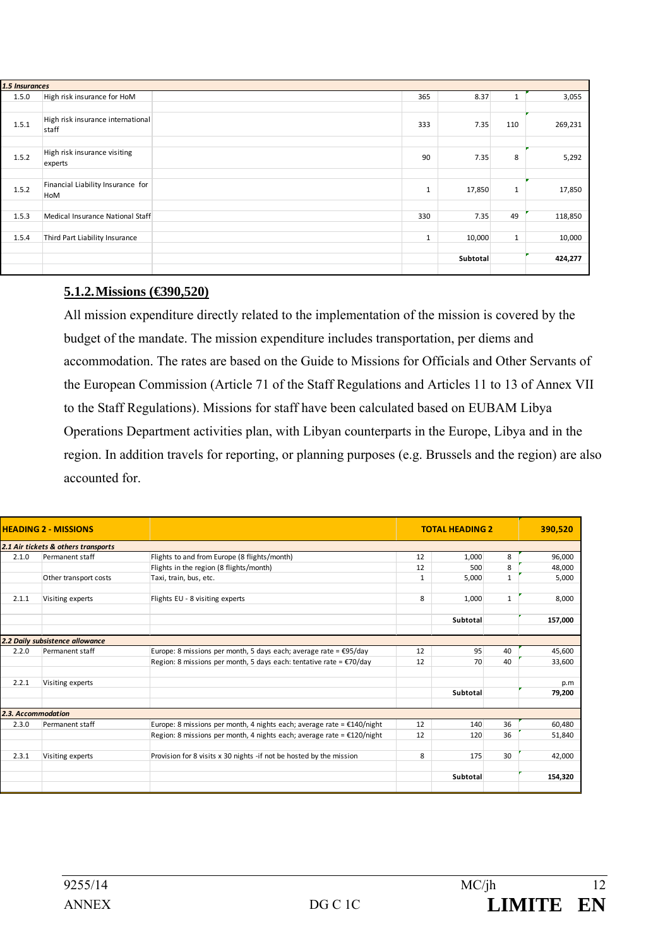| 1.5 Insurances |                                            |              |          |              |         |
|----------------|--------------------------------------------|--------------|----------|--------------|---------|
| 1.5.0          | High risk insurance for HoM                | 365          | 8.37     |              | 3,055   |
|                |                                            |              |          |              |         |
| 1.5.1          | High risk insurance international<br>staff | 333          | 7.35     | 110          | 269,231 |
|                |                                            |              |          |              |         |
| 1.5.2          | High risk insurance visiting<br>experts    | 90           | 7.35     | 8            | 5,292   |
|                |                                            |              |          |              |         |
| 1.5.2          | Financial Liability Insurance for<br>HoM   | $\mathbf{1}$ | 17,850   | $\mathbf{1}$ | 17,850  |
|                |                                            |              |          |              |         |
| 1.5.3          | Medical Insurance National Staff           | 330          | 7.35     | 49           | 118,850 |
|                |                                            |              |          |              |         |
| 1.5.4          | Third Part Liability Insurance             | $\mathbf{1}$ | 10,000   | $\mathbf{1}$ | 10,000  |
|                |                                            |              |          |              |         |
|                |                                            |              | Subtotal |              | 424,277 |
|                |                                            |              |          |              |         |

#### **5.1.2. Missions (€390,520)**

All mission expenditure directly related to the implementation of the mission is covered by the budget of the mandate. The mission expenditure includes transportation, per diems and accommodation. The rates are based on the Guide to Missions for Officials and Other Servants of the European Commission (Article 71 of the Staff Regulations and Articles 11 to 13 of Annex VII to the Staff Regulations). Missions for staff have been calculated based on EUBAM Libya Operations Department activities plan, with Libyan counterparts in the Europe, Libya and in the region. In addition travels for reporting, or planning purposes (e.g. Brussels and the region) are also accounted for.

|                    | <b>HEADING 2 - MISSIONS</b>         |                                                                               |              | <b>TOTAL HEADING 2</b> |              | 390,520 |
|--------------------|-------------------------------------|-------------------------------------------------------------------------------|--------------|------------------------|--------------|---------|
|                    | 2.1 Air tickets & others transports |                                                                               |              |                        |              |         |
| 2.1.0              | Permanent staff                     | Flights to and from Europe (8 flights/month)                                  | 12           | 1,000                  | 8            | 96,000  |
|                    |                                     | Flights in the region (8 flights/month)                                       | 12           | 500                    | 8            | 48,000  |
|                    | Other transport costs               | Taxi, train, bus, etc.                                                        | $\mathbf{1}$ | 5,000                  | $\mathbf{1}$ | 5,000   |
| 2.1.1              | Visiting experts                    | Flights EU - 8 visiting experts                                               | 8            | 1,000                  | $\mathbf{1}$ | 8,000   |
|                    |                                     |                                                                               |              | <b>Subtotal</b>        |              | 157,000 |
|                    | 2.2 Daily subsistence allowance     |                                                                               |              |                        |              |         |
| 2.2.0              | Permanent staff                     | Europe: 8 missions per month, 5 days each; average rate = $\epsilon$ 95/day   | 12           | 95                     | 40           | 45,600  |
|                    |                                     | Region: 8 missions per month, 5 days each: tentative rate = $\epsilon$ 70/day | 12           | 70                     | 40           | 33,600  |
| 2.2.1              | Visiting experts                    |                                                                               |              |                        |              | p.m     |
|                    |                                     |                                                                               |              | <b>Subtotal</b>        |              | 79,200  |
| 2.3. Accommodation |                                     |                                                                               |              |                        |              |         |
| 2.3.0              | Permanent staff                     | Europe: 8 missions per month, 4 nights each; average rate = $£140/night$      | 12           | 140                    | 36           | 60,480  |
|                    |                                     | Region: 8 missions per month, 4 nights each; average rate = $£120/night$      | 12           | 120                    | 36           | 51,840  |
| 2.3.1              | Visiting experts                    | Provision for 8 visits x 30 nights -if not be hosted by the mission           | 8            | 175                    | 30           | 42,000  |
|                    |                                     |                                                                               |              | <b>Subtotal</b>        |              | 154,320 |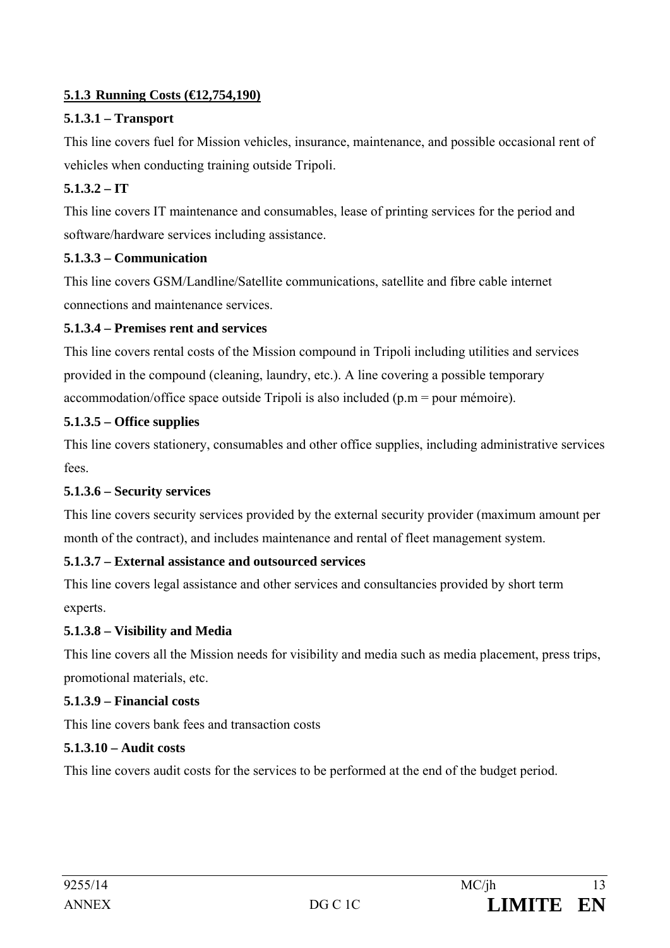# **5.1.3 Running Costs (€12,754,190)**

# **5.1.3.1 – Transport**

This line covers fuel for Mission vehicles, insurance, maintenance, and possible occasional rent of vehicles when conducting training outside Tripoli.

# **5.1.3.2 – IT**

This line covers IT maintenance and consumables, lease of printing services for the period and software/hardware services including assistance.

# **5.1.3.3 – Communication**

This line covers GSM/Landline/Satellite communications, satellite and fibre cable internet connections and maintenance services.

# **5.1.3.4 – Premises rent and services**

This line covers rental costs of the Mission compound in Tripoli including utilities and services provided in the compound (cleaning, laundry, etc.). A line covering a possible temporary accommodation/office space outside Tripoli is also included (p.m = pour mémoire).

# **5.1.3.5 – Office supplies**

This line covers stationery, consumables and other office supplies, including administrative services fees.

### **5.1.3.6 – Security services**

This line covers security services provided by the external security provider (maximum amount per month of the contract), and includes maintenance and rental of fleet management system.

### **5.1.3.7 – External assistance and outsourced services**

This line covers legal assistance and other services and consultancies provided by short term experts.

### **5.1.3.8 – Visibility and Media**

This line covers all the Mission needs for visibility and media such as media placement, press trips, promotional materials, etc.

### **5.1.3.9 – Financial costs**

This line covers bank fees and transaction costs

### **5.1.3.10 – Audit costs**

This line covers audit costs for the services to be performed at the end of the budget period.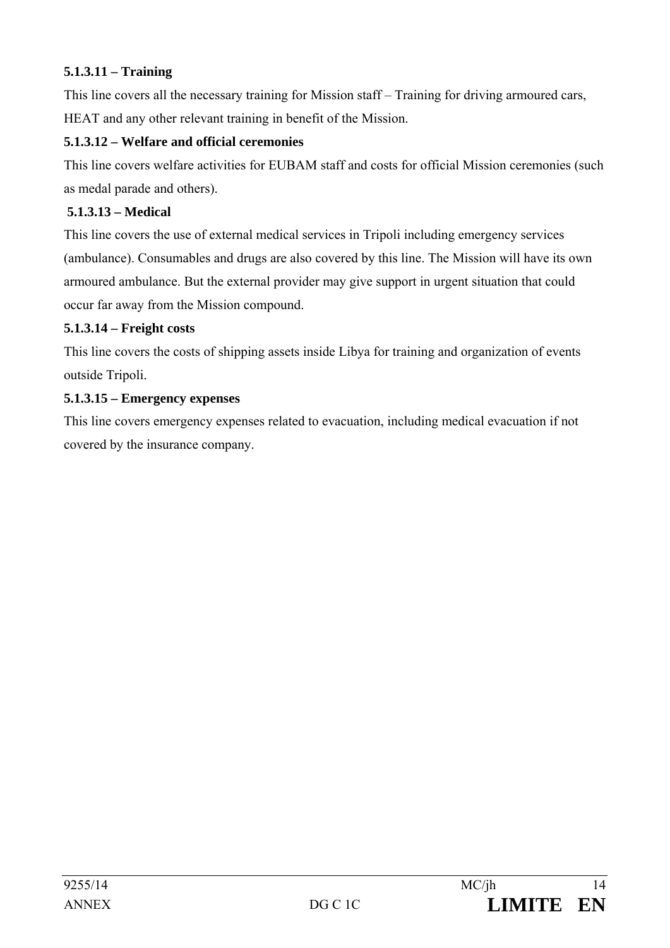## **5.1.3.11 – Training**

This line covers all the necessary training for Mission staff – Training for driving armoured cars, HEAT and any other relevant training in benefit of the Mission.

## **5.1.3.12 – Welfare and official ceremonies**

This line covers welfare activities for EUBAM staff and costs for official Mission ceremonies (such as medal parade and others).

## **5.1.3.13 – Medical**

This line covers the use of external medical services in Tripoli including emergency services (ambulance). Consumables and drugs are also covered by this line. The Mission will have its own armoured ambulance. But the external provider may give support in urgent situation that could occur far away from the Mission compound.

### **5.1.3.14 – Freight costs**

This line covers the costs of shipping assets inside Libya for training and organization of events outside Tripoli.

### **5.1.3.15 – Emergency expenses**

This line covers emergency expenses related to evacuation, including medical evacuation if not covered by the insurance company.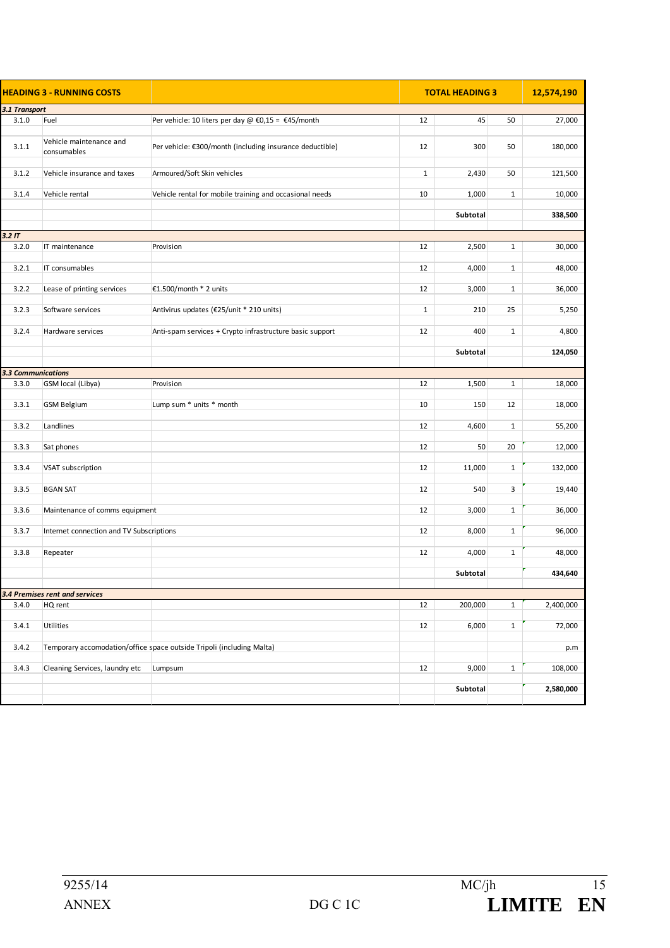|                    | <b>HEADING 3 - RUNNING COSTS</b>          |                                                                       | <b>TOTAL HEADING 3</b> |          | 12,574,190   |           |
|--------------------|-------------------------------------------|-----------------------------------------------------------------------|------------------------|----------|--------------|-----------|
| 3.1 Transport      |                                           |                                                                       |                        |          |              |           |
| 3.1.0              | Fuel                                      | Per vehicle: 10 liters per day @ €0,15 = €45/month                    | 12                     | 45       | 50           | 27,000    |
|                    |                                           |                                                                       |                        |          |              |           |
| 3.1.1              | Vehicle maintenance and<br>consumables    | Per vehicle: €300/month (including insurance deductible)              | 12                     | 300      | 50           | 180,000   |
|                    |                                           |                                                                       |                        |          |              |           |
| 3.1.2              | Vehicle insurance and taxes               | Armoured/Soft Skin vehicles                                           | $\mathbf{1}$           | 2,430    | 50           | 121,500   |
| 3.1.4              | Vehicle rental                            | Vehicle rental for mobile training and occasional needs               | 10                     | 1,000    | $\mathbf{1}$ | 10,000    |
|                    |                                           |                                                                       |                        | Subtotal |              | 338,500   |
|                    |                                           |                                                                       |                        |          |              |           |
| 3.2 <sub>IT</sub>  |                                           |                                                                       |                        |          |              |           |
| 3.2.0              | IT maintenance                            | Provision                                                             | 12                     | 2,500    | $\mathbf{1}$ | 30,000    |
| 3.2.1              | IT consumables                            |                                                                       | 12                     | 4,000    | $\mathbf{1}$ | 48,000    |
|                    |                                           |                                                                       |                        |          |              |           |
| 3.2.2              | Lease of printing services                | €1.500/month * 2 units                                                | 12                     | 3,000    | $\mathbf{1}$ | 36,000    |
|                    |                                           |                                                                       |                        |          |              |           |
| 3.2.3              | Software services                         | Antivirus updates (€25/unit * 210 units)                              | $\mathbf{1}$           | 210      | 25           | 5,250     |
| 3.2.4              | Hardware services                         | Anti-spam services + Crypto infrastructure basic support              | 12                     | 400      | $\mathbf{1}$ | 4,800     |
|                    |                                           |                                                                       |                        |          |              |           |
|                    |                                           |                                                                       |                        | Subtotal |              | 124,050   |
|                    |                                           |                                                                       |                        |          |              |           |
| 3.3 Communications |                                           |                                                                       |                        |          |              |           |
| 3.3.0              | GSM local (Libya)                         | Provision                                                             | 12                     | 1,500    | $\mathbf{1}$ | 18,000    |
| 3.3.1              | <b>GSM Belgium</b>                        | Lump sum * units * month                                              | 10                     | 150      | 12           | 18,000    |
|                    |                                           |                                                                       |                        |          |              |           |
| 3.3.2              | Landlines                                 |                                                                       | 12                     | 4,600    | $\mathbf{1}$ | 55,200    |
|                    |                                           |                                                                       |                        |          |              |           |
| 3.3.3              | Sat phones                                |                                                                       | 12                     | 50       | 20           | 12,000    |
| 3.3.4              | VSAT subscription                         |                                                                       | 12                     | 11,000   | $\mathbf{1}$ | 132,000   |
|                    |                                           |                                                                       |                        |          |              |           |
| 3.3.5              | <b>BGAN SAT</b>                           |                                                                       | 12                     | 540      | 3            | 19,440    |
|                    |                                           |                                                                       |                        |          |              |           |
| 3.3.6              | Maintenance of comms equipment            |                                                                       | 12                     | 3,000    | $\mathbf{1}$ | 36,000    |
| 3.3.7              | Internet connection and TV Subscriptions  |                                                                       | 12                     | 8,000    | $\mathbf{1}$ | 96,000    |
|                    |                                           |                                                                       |                        |          |              |           |
| 3.3.8              | Repeater                                  |                                                                       | 12                     | 4,000    | $\mathbf{1}$ | 48,000    |
|                    |                                           |                                                                       |                        |          |              |           |
|                    |                                           |                                                                       |                        | Subtotal |              | 434,640   |
|                    |                                           |                                                                       |                        |          |              |           |
| 3.4.0              | 3.4 Premises rent and services<br>HQ rent |                                                                       | 12                     | 200,000  | $\mathbf{1}$ | 2,400,000 |
|                    |                                           |                                                                       |                        |          |              |           |
| 3.4.1              | Utilities                                 |                                                                       | 12                     | 6,000    | $\mathbf{1}$ | 72,000    |
|                    |                                           |                                                                       |                        |          |              |           |
| 3.4.2              |                                           | Temporary accomodation/office space outside Tripoli (including Malta) |                        |          |              | p.m       |
| 3.4.3              | Cleaning Services, laundry etc            | Lumpsum                                                               | 12                     | 9,000    | $\mathbf{1}$ | 108,000   |
|                    |                                           |                                                                       |                        |          |              |           |
|                    |                                           |                                                                       |                        | Subtotal |              | 2,580,000 |
|                    |                                           |                                                                       |                        |          |              |           |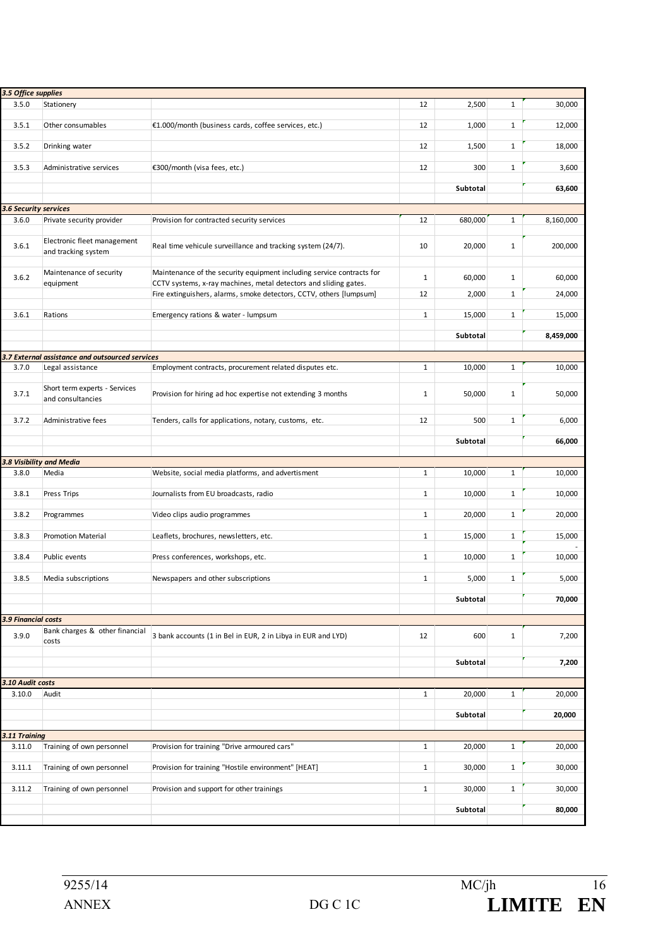| 3.5 Office supplies      |                                                    |                                                                                                                                           |              |          |              |           |
|--------------------------|----------------------------------------------------|-------------------------------------------------------------------------------------------------------------------------------------------|--------------|----------|--------------|-----------|
| 3.5.0                    | Stationery                                         |                                                                                                                                           | 12           | 2,500    | $\mathbf{1}$ | 30,000    |
| 3.5.1                    | Other consumables                                  | €1.000/month (business cards, coffee services, etc.)                                                                                      | 12           | 1,000    | $\mathbf{1}$ | 12,000    |
| 3.5.2                    | Drinking water                                     |                                                                                                                                           | 12           | 1,500    | $\mathbf{1}$ | 18,000    |
| 3.5.3                    | Administrative services                            | €300/month (visa fees, etc.)                                                                                                              | 12           | 300      | $\mathbf{1}$ | 3,600     |
|                          |                                                    |                                                                                                                                           |              | Subtotal |              | 63,600    |
| 3.6 Security services    |                                                    |                                                                                                                                           |              |          |              |           |
| 3.6.0                    | Private security provider                          | Provision for contracted security services                                                                                                | 12           | 680,000  | $\mathbf{1}$ | 8,160,000 |
| 3.6.1                    | Electronic fleet management<br>and tracking system | Real time vehicule surveillance and tracking system (24/7).                                                                               | 10           | 20,000   | $\mathbf{1}$ | 200,000   |
| 3.6.2                    | Maintenance of security<br>equipment               | Maintenance of the security equipment including service contracts for<br>CCTV systems, x-ray machines, metal detectors and sliding gates. | $\mathbf{1}$ | 60,000   | $\mathbf{1}$ | 60,000    |
|                          |                                                    | Fire extinguishers, alarms, smoke detectors, CCTV, others [lumpsum]                                                                       | 12           | 2,000    | $\mathbf{1}$ | 24,000    |
| 3.6.1                    | Rations                                            | Emergency rations & water - lumpsum                                                                                                       | $\mathbf{1}$ | 15,000   | $\mathbf{1}$ | 15,000    |
|                          |                                                    |                                                                                                                                           |              | Subtotal |              | 8,459,000 |
|                          |                                                    |                                                                                                                                           |              |          |              |           |
|                          | 3.7 External assistance and outsourced services    |                                                                                                                                           |              |          |              |           |
| 3.7.0                    | Legal assistance                                   | Employment contracts, procurement related disputes etc.                                                                                   | $\mathbf{1}$ | 10,000   | $\mathbf{1}$ | 10,000    |
| 3.7.1                    | Short term experts - Services<br>and consultancies | Provision for hiring ad hoc expertise not extending 3 months                                                                              | $\mathbf{1}$ | 50,000   | $\mathbf{1}$ | 50,000    |
| 3.7.2                    | Administrative fees                                | Tenders, calls for applications, notary, customs, etc.                                                                                    | 12           | 500      | $\mathbf{1}$ | 6,000     |
|                          |                                                    |                                                                                                                                           |              | Subtotal |              | 66,000    |
| 3.8 Visibility and Media |                                                    |                                                                                                                                           |              |          |              |           |
| 3.8.0                    | Media                                              | Website, social media platforms, and advertisment                                                                                         | $\mathbf{1}$ | 10,000   | $1\,$        | 10,000    |
| 3.8.1                    | Press Trips                                        | Journalists from EU broadcasts, radio                                                                                                     | $\mathbf{1}$ | 10,000   | $\mathbf{1}$ | 10,000    |
| 3.8.2                    | Programmes                                         | Video clips audio programmes                                                                                                              | $\mathbf{1}$ | 20,000   | $\mathbf{1}$ | 20,000    |
| 3.8.3                    | <b>Promotion Material</b>                          | Leaflets, brochures, newsletters, etc.                                                                                                    | $\mathbf{1}$ | 15,000   | $\mathbf{1}$ | 15,000    |
| 3.8.4                    | Public events                                      | Press conferences, workshops, etc.                                                                                                        | $\mathbf{1}$ | 10,000   | $\mathbf{1}$ | 10,000    |
| 3.8.5                    | Media subscriptions                                | Newspapers and other subscriptions                                                                                                        | $\mathbf{1}$ | 5,000    | $\mathbf{1}$ | 5,000     |
|                          |                                                    |                                                                                                                                           |              | Subtotal |              | 70,000    |
| 3.9 Financial costs      |                                                    |                                                                                                                                           |              |          |              |           |
| 3.9.0                    | Bank charges & other financial<br>costs            | 3 bank accounts (1 in Bel in EUR, 2 in Libya in EUR and LYD)                                                                              | 12           | 600      | $\mathbf{1}$ | 7,200     |
|                          |                                                    |                                                                                                                                           |              | Subtotal |              | 7,200     |
| 3.10 Audit costs         |                                                    |                                                                                                                                           |              |          |              |           |
| 3.10.0                   | Audit                                              |                                                                                                                                           | $\mathbf{1}$ | 20,000   | $1\,$        | 20,000    |
|                          |                                                    |                                                                                                                                           |              | Subtotal |              | 20,000    |
| 3.11 Training            |                                                    |                                                                                                                                           |              |          |              |           |
| 3.11.0                   | Training of own personnel                          | Provision for training "Drive armoured cars"                                                                                              | $\mathbf{1}$ | 20,000   | $\mathbf{1}$ | 20,000    |
| 3.11.1                   | Training of own personnel                          | Provision for training "Hostile environment" [HEAT]                                                                                       | $\mathbf{1}$ | 30,000   | $\mathbf{1}$ | 30,000    |
| 3.11.2                   | Training of own personnel                          | Provision and support for other trainings                                                                                                 | $\mathbf{1}$ | 30,000   | $\mathbf{1}$ | 30,000    |
|                          |                                                    |                                                                                                                                           |              | Subtotal |              | 80,000    |
|                          |                                                    |                                                                                                                                           |              |          |              |           |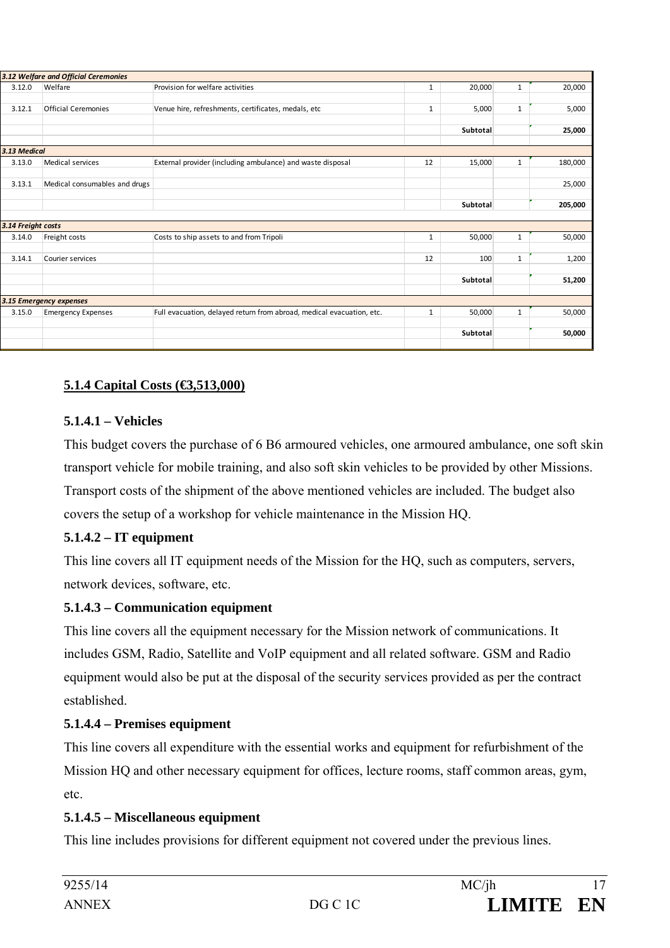|                    | 3.12 Welfare and Official Ceremonies |                                                                       |              |          |              |         |
|--------------------|--------------------------------------|-----------------------------------------------------------------------|--------------|----------|--------------|---------|
| 3.12.0             | Welfare                              | Provision for welfare activities                                      | 1            | 20,000   | $\mathbf{1}$ | 20,000  |
|                    |                                      |                                                                       |              |          |              |         |
| 3.12.1             | <b>Official Ceremonies</b>           | Venue hire, refreshments, certificates, medals, etc                   | $\mathbf{1}$ | 5,000    | $\mathbf{1}$ | 5,000   |
|                    |                                      |                                                                       |              |          |              |         |
|                    |                                      |                                                                       |              | Subtotal |              | 25,000  |
| 3.13 Medical       |                                      |                                                                       |              |          |              |         |
| 3.13.0             | Medical services                     | External provider (including ambulance) and waste disposal            | 12           | 15,000   | $\mathbf{1}$ | 180,000 |
|                    |                                      |                                                                       |              |          |              |         |
| 3.13.1             | Medical consumables and drugs        |                                                                       |              |          |              | 25,000  |
|                    |                                      |                                                                       |              |          |              |         |
|                    |                                      |                                                                       |              | Subtotal |              | 205,000 |
|                    |                                      |                                                                       |              |          |              |         |
| 3.14 Freight costs |                                      |                                                                       |              |          |              |         |
| 3.14.0             | Freight costs                        | Costs to ship assets to and from Tripoli                              | $\mathbf{1}$ | 50,000   | $\mathbf{1}$ | 50,000  |
|                    |                                      |                                                                       |              |          |              |         |
| 3.14.1             | Courier services                     |                                                                       | 12           | 100      | $\mathbf{1}$ | 1,200   |
|                    |                                      |                                                                       |              |          |              |         |
|                    |                                      |                                                                       |              | Subtotal |              | 51,200  |
|                    |                                      |                                                                       |              |          |              |         |
|                    | 3.15 Emergency expenses              |                                                                       |              |          |              |         |
| 3.15.0             | <b>Emergency Expenses</b>            | Full evacuation, delayed return from abroad, medical evacuation, etc. | $\mathbf{1}$ | 50,000   | $\mathbf{1}$ | 50,000  |
|                    |                                      |                                                                       |              |          |              |         |
|                    |                                      |                                                                       |              | Subtotal |              | 50,000  |
|                    |                                      |                                                                       |              |          |              |         |

# **5.1.4 Capital Costs (€3,513,000)**

#### **5.1.4.1 – Vehicles**

This budget covers the purchase of 6 B6 armoured vehicles, one armoured ambulance, one soft skin transport vehicle for mobile training, and also soft skin vehicles to be provided by other Missions. Transport costs of the shipment of the above mentioned vehicles are included. The budget also covers the setup of a workshop for vehicle maintenance in the Mission HQ.

### **5.1.4.2 – IT equipment**

This line covers all IT equipment needs of the Mission for the HQ, such as computers, servers, network devices, software, etc.

### **5.1.4.3 – Communication equipment**

This line covers all the equipment necessary for the Mission network of communications. It includes GSM, Radio, Satellite and VoIP equipment and all related software. GSM and Radio equipment would also be put at the disposal of the security services provided as per the contract established.

# **5.1.4.4 – Premises equipment**

This line covers all expenditure with the essential works and equipment for refurbishment of the Mission HQ and other necessary equipment for offices, lecture rooms, staff common areas, gym, etc.

### **5.1.4.5 – Miscellaneous equipment**

This line includes provisions for different equipment not covered under the previous lines.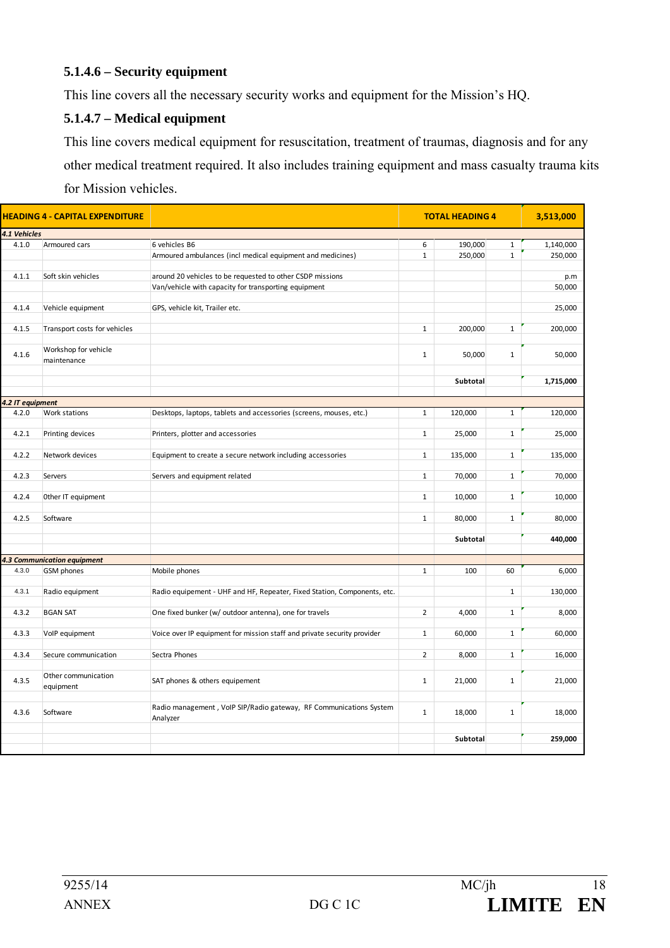#### **5.1.4.6 – Security equipment**

This line covers all the necessary security works and equipment for the Mission's HQ.

#### **5.1.4.7 – Medical equipment**

This line covers medical equipment for resuscitation, treatment of traumas, diagnosis and for any other medical treatment required. It also includes training equipment and mass casualty trauma kits for Mission vehicles.

| HEADING 4 - CAPITAL EXPENDITURE |                              |                                                                          |                | <b>TOTAL HEADING 4</b> |              | 3,513,000 |  |
|---------------------------------|------------------------------|--------------------------------------------------------------------------|----------------|------------------------|--------------|-----------|--|
| 4.1 Vehicles                    |                              |                                                                          |                |                        |              |           |  |
| 4.1.0                           | Armoured cars                | 6 vehicles B6                                                            | 6              | 190,000                | $\mathbf{1}$ | 1,140,000 |  |
|                                 |                              | Armoured ambulances (incl medical equipment and medicines)               | $\mathbf{1}$   | 250,000                | $\mathbf{1}$ | 250,000   |  |
|                                 |                              |                                                                          |                |                        |              |           |  |
| 4.1.1                           | Soft skin vehicles           | around 20 vehicles to be requested to other CSDP missions                |                |                        |              | p.m       |  |
|                                 |                              | Van/vehicle with capacity for transporting equipment                     |                |                        |              | 50,000    |  |
|                                 |                              |                                                                          |                |                        |              |           |  |
| 4.1.4                           | Vehicle equipment            | GPS, vehicle kit, Trailer etc.                                           |                |                        |              | 25,000    |  |
|                                 |                              |                                                                          |                |                        |              |           |  |
| 4.1.5                           | Transport costs for vehicles |                                                                          | $\mathbf{1}$   | 200,000                | $\mathbf{1}$ | 200,000   |  |
|                                 | Workshop for vehicle         |                                                                          |                |                        |              |           |  |
| 4.1.6                           | maintenance                  |                                                                          | $\mathbf{1}$   | 50,000                 | $\mathbf{1}$ | 50,000    |  |
|                                 |                              |                                                                          |                |                        |              |           |  |
|                                 |                              |                                                                          |                | Subtotal               |              | 1,715,000 |  |
|                                 |                              |                                                                          |                |                        |              |           |  |
| 4.2 IT equipment                |                              |                                                                          |                |                        |              |           |  |
| 4.2.0                           | Work stations                | Desktops, laptops, tablets and accessories (screens, mouses, etc.)       | $\mathbf{1}$   | 120,000                | $\mathbf{1}$ | 120,000   |  |
|                                 |                              |                                                                          |                |                        |              |           |  |
| 4.2.1                           | Printing devices             | Printers, plotter and accessories                                        | $\mathbf{1}$   | 25,000                 | $\mathbf{1}$ | 25,000    |  |
|                                 |                              |                                                                          |                |                        |              |           |  |
| 4.2.2                           | Network devices              | Equipment to create a secure network including accessories               | $\mathbf{1}$   | 135,000                | $\mathbf{1}$ | 135,000   |  |
|                                 |                              |                                                                          |                |                        |              |           |  |
| 4.2.3                           | Servers                      | Servers and equipment related                                            | $\mathbf{1}$   | 70,000                 | $\mathbf 1$  | 70,000    |  |
| 4.2.4                           | Other IT equipment           |                                                                          | $\mathbf{1}$   | 10,000                 | $\mathbf{1}$ | 10,000    |  |
|                                 |                              |                                                                          |                |                        |              |           |  |
| 4.2.5                           | Software                     |                                                                          | $\mathbf{1}$   | 80,000                 | $\mathbf{1}$ | 80,000    |  |
|                                 |                              |                                                                          |                |                        |              |           |  |
|                                 |                              |                                                                          |                | Subtotal               |              | 440,000   |  |
|                                 |                              |                                                                          |                |                        |              |           |  |
|                                 | 4.3 Communication equipment  |                                                                          |                |                        |              |           |  |
| 4.3.0                           | GSM phones                   | Mobile phones                                                            | $\mathbf{1}$   | 100                    | 60           | 6,000     |  |
|                                 |                              |                                                                          |                |                        |              |           |  |
| 4.3.1                           | Radio equipment              | Radio equipement - UHF and HF, Repeater, Fixed Station, Components, etc. |                |                        | $1\,$        | 130,000   |  |
|                                 |                              |                                                                          |                |                        |              |           |  |
| 4.3.2                           | <b>BGAN SAT</b>              | One fixed bunker (w/ outdoor antenna), one for travels                   | $\overline{2}$ | 4,000                  | $1\,$        | 8,000     |  |
| 4.3.3                           | VolP equipment               | Voice over IP equipment for mission staff and private security provider  | $\mathbf{1}$   | 60,000                 | $1\,$        | 60,000    |  |
|                                 |                              |                                                                          |                |                        |              |           |  |
| 4.3.4                           | Secure communication         | Sectra Phones                                                            | $\overline{2}$ | 8,000                  | $\mathbf{1}$ | 16,000    |  |
|                                 |                              |                                                                          |                |                        |              |           |  |
|                                 | Other communication          |                                                                          |                |                        |              |           |  |
| 4.3.5                           | equipment                    | SAT phones & others equipement                                           | $\mathbf{1}$   | 21,000                 | $\mathbf{1}$ | 21,000    |  |
|                                 |                              |                                                                          |                |                        |              |           |  |
| 4.3.6                           | Software                     | Radio management, VoIP SIP/Radio gateway, RF Communications System       | $\mathbf 1$    | 18,000                 | $1\,$        | 18,000    |  |
|                                 |                              | Analyzer                                                                 |                |                        |              |           |  |
|                                 |                              |                                                                          |                |                        |              |           |  |
|                                 |                              |                                                                          |                | Subtotal               |              | 259,000   |  |
|                                 |                              |                                                                          |                |                        |              |           |  |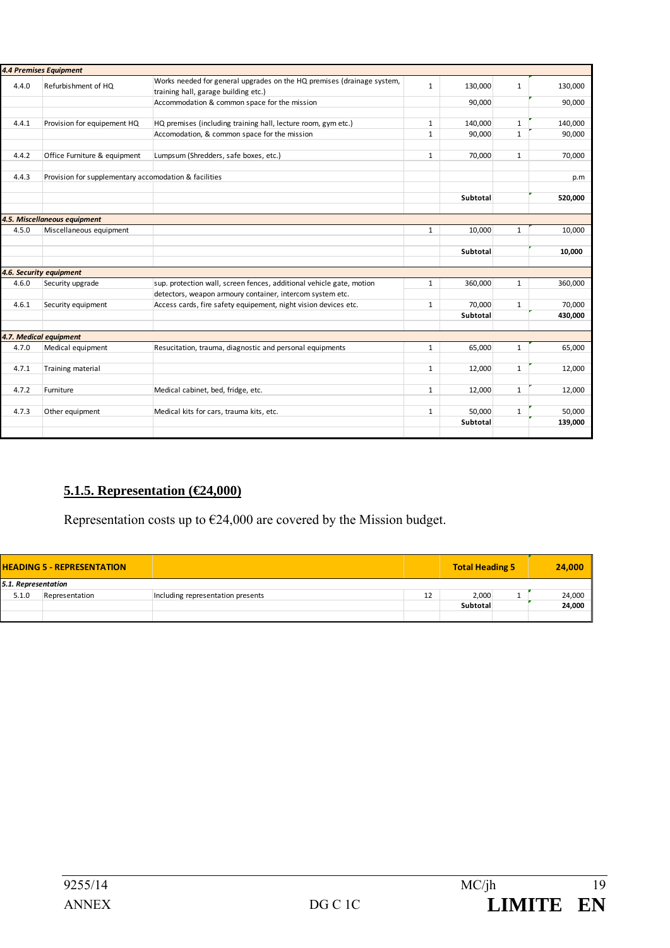|       | <b>4.4 Premises Equipment</b>                         |                                                                        |              |          |              |         |
|-------|-------------------------------------------------------|------------------------------------------------------------------------|--------------|----------|--------------|---------|
| 4.4.0 | Refurbishment of HQ                                   | Works needed for general upgrades on the HQ premises (drainage system, | $\mathbf{1}$ | 130,000  | 1            | 130,000 |
|       |                                                       | training hall, garage building etc.)                                   |              |          |              |         |
|       |                                                       | Accommodation & common space for the mission                           |              | 90,000   |              | 90,000  |
|       |                                                       |                                                                        |              |          |              |         |
| 4.4.1 | Provision for equipement HQ                           | HQ premises (including training hall, lecture room, gym etc.)          | $\mathbf{1}$ | 140,000  | $\mathbf{1}$ | 140,000 |
|       |                                                       | Accomodation, & common space for the mission                           | $\mathbf{1}$ | 90,000   | $\mathbf{1}$ | 90,000  |
|       |                                                       |                                                                        |              |          |              |         |
| 4.4.2 | Office Furniture & equipment                          | Lumpsum (Shredders, safe boxes, etc.)                                  | $\mathbf{1}$ | 70,000   | $\mathbf{1}$ | 70,000  |
|       |                                                       |                                                                        |              |          |              |         |
| 4.4.3 | Provision for supplementary accomodation & facilities |                                                                        |              |          |              | p.m     |
|       |                                                       |                                                                        |              |          |              |         |
|       |                                                       |                                                                        |              | Subtotal |              | 520,000 |
|       |                                                       |                                                                        |              |          |              |         |
|       | 4.5. Miscellaneous equipment                          |                                                                        |              |          |              |         |
| 4.5.0 | Miscellaneous equipment                               |                                                                        | 1            | 10,000   | 1            | 10,000  |
|       |                                                       |                                                                        |              |          |              |         |
|       |                                                       |                                                                        |              | Subtotal |              | 10,000  |
|       |                                                       |                                                                        |              |          |              |         |
|       | 4.6. Security equipment                               |                                                                        |              |          |              |         |
| 4.6.0 | Security upgrade                                      | sup. protection wall, screen fences, additional vehicle gate, motion   | $\mathbf{1}$ | 360,000  | $\mathbf{1}$ | 360,000 |
|       |                                                       | detectors, weapon armoury container, intercom system etc.              |              |          |              |         |
| 4.6.1 | Security equipment                                    | Access cards, fire safety equipement, night vision devices etc.        | 1            | 70,000   | 1            | 70,000  |
|       |                                                       |                                                                        |              | Subtotal |              | 430,000 |
|       |                                                       |                                                                        |              |          |              |         |
|       | 4.7. Medical equipment                                |                                                                        |              |          |              |         |
| 4.7.0 | Medical equipment                                     | Resucitation, trauma, diagnostic and personal equipments               | $\mathbf{1}$ | 65,000   | $\mathbf{1}$ | 65,000  |
|       |                                                       |                                                                        |              |          |              |         |
| 4.7.1 | Training material                                     |                                                                        | $\mathbf{1}$ | 12,000   | 1            | 12,000  |
|       |                                                       |                                                                        |              |          |              |         |
| 4.7.2 | Furniture                                             | Medical cabinet, bed, fridge, etc.                                     | $\mathbf{1}$ | 12,000   | $\mathbf{1}$ | 12,000  |
|       |                                                       |                                                                        |              |          |              |         |
| 4.7.3 | Other equipment                                       | Medical kits for cars, trauma kits, etc.                               | 1            | 50,000   | 1            | 50,000  |
|       |                                                       |                                                                        |              | Subtotal |              | 139,000 |
|       |                                                       |                                                                        |              |          |              |         |

# **5.1.5. Representation (€24,000)**

Representation costs up to  $\epsilon$ 24,000 are covered by the Mission budget.

| <b>HEADING 5 - REPRESENTATION</b> |                |                                   |    | <b>Total Heading 5</b> | 24,000 |
|-----------------------------------|----------------|-----------------------------------|----|------------------------|--------|
| 5.1. Representation               |                |                                   |    |                        |        |
| 5.1.0                             | Representation | Including representation presents | 12 | 2,000                  | 24,000 |
|                                   |                |                                   |    | Subtotal               | 24,000 |
|                                   |                |                                   |    |                        |        |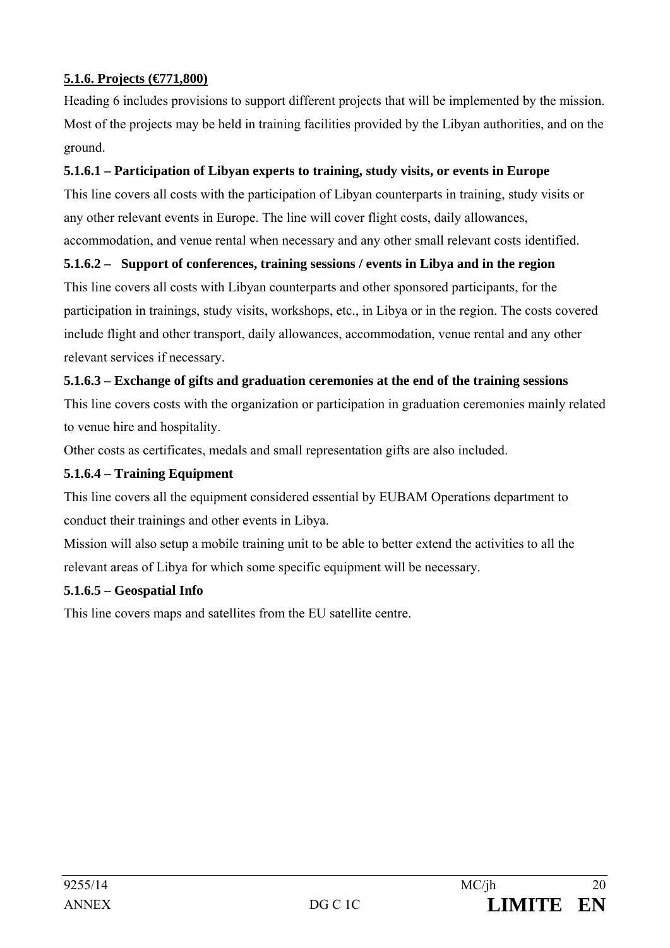## **5.1.6. Projects (€771,800)**

Heading 6 includes provisions to support different projects that will be implemented by the mission. Most of the projects may be held in training facilities provided by the Libyan authorities, and on the ground.

### **5.1.6.1 – Participation of Libyan experts to training, study visits, or events in Europe**

This line covers all costs with the participation of Libyan counterparts in training, study visits or any other relevant events in Europe. The line will cover flight costs, daily allowances, accommodation, and venue rental when necessary and any other small relevant costs identified.

### **5.1.6.2 – Support of conferences, training sessions / events in Libya and in the region**

This line covers all costs with Libyan counterparts and other sponsored participants, for the participation in trainings, study visits, workshops, etc., in Libya or in the region. The costs covered include flight and other transport, daily allowances, accommodation, venue rental and any other relevant services if necessary.

### **5.1.6.3 – Exchange of gifts and graduation ceremonies at the end of the training sessions**

This line covers costs with the organization or participation in graduation ceremonies mainly related to venue hire and hospitality.

Other costs as certificates, medals and small representation gifts are also included.

### **5.1.6.4 – Training Equipment**

This line covers all the equipment considered essential by EUBAM Operations department to conduct their trainings and other events in Libya.

Mission will also setup a mobile training unit to be able to better extend the activities to all the relevant areas of Libya for which some specific equipment will be necessary.

### **5.1.6.5 – Geospatial Info**

This line covers maps and satellites from the EU satellite centre.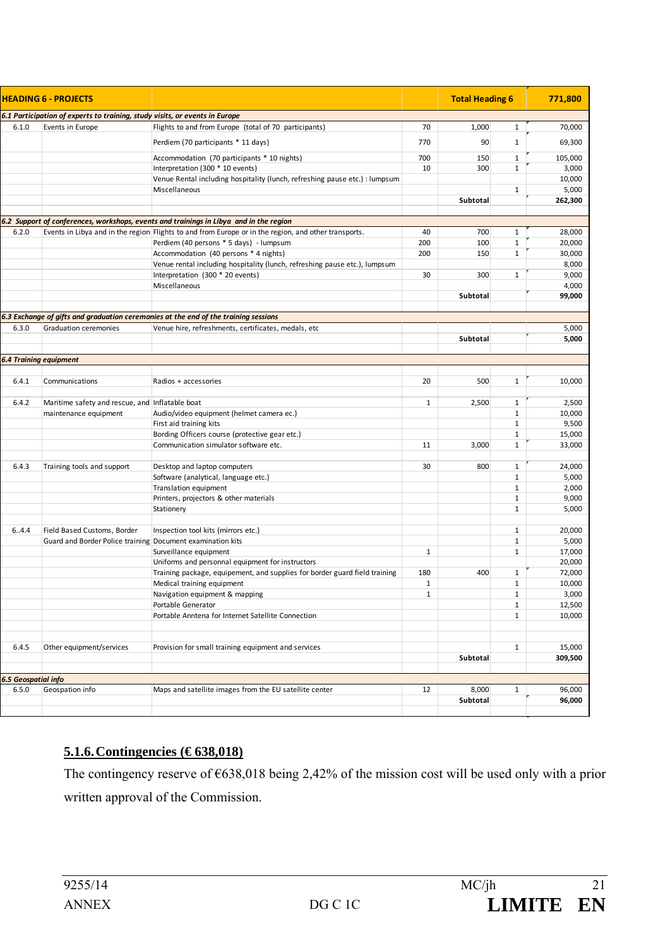| <b>HEADING 6 - PROJECTS</b>  |                                                                             |                                                                                                      |              | <b>Total Heading 6</b> |              | 771,800 |
|------------------------------|-----------------------------------------------------------------------------|------------------------------------------------------------------------------------------------------|--------------|------------------------|--------------|---------|
|                              | 6.1 Participation of experts to training, study visits, or events in Europe |                                                                                                      |              |                        |              |         |
| 6.1.0                        | Events in Europe                                                            | Flights to and from Europe (total of 70 participants)                                                | 70           | 1,000                  | $\mathbf{1}$ | 70,000  |
|                              |                                                                             | Perdiem (70 participants * 11 days)                                                                  | 770          | 90                     | 1            | 69,300  |
|                              |                                                                             | Accommodation (70 participants * 10 nights)                                                          | 700          | 150                    | $\mathbf{1}$ | 105,000 |
|                              |                                                                             | Interpretation (300 * 10 events)                                                                     | 10           | 300                    | $\mathbf{1}$ | 3,000   |
|                              |                                                                             | Venue Rental including hospitality (lunch, refreshing pause etc.) : lumpsum                          |              |                        |              | 10,000  |
|                              |                                                                             | Miscellaneous                                                                                        |              |                        | $\mathbf{1}$ | 5,000   |
|                              |                                                                             |                                                                                                      |              | Subtotal               |              | 262,300 |
|                              |                                                                             |                                                                                                      |              |                        |              |         |
|                              |                                                                             | 6.2 Support of conferences, workshops, events and trainings in Libya and in the region               |              |                        |              |         |
| 6.2.0                        |                                                                             | Events in Libya and in the region Flights to and from Europe or in the region, and other transports. | 40           | 700                    | $\mathbf{1}$ | 28,000  |
|                              |                                                                             | Perdiem (40 persons * 5 days) - lumpsum                                                              | 200          | 100                    | $\mathbf{1}$ | 20,000  |
|                              |                                                                             | Accommodation (40 persons * 4 nights)                                                                | 200          | 150                    | $\mathbf{1}$ | 30,000  |
|                              |                                                                             | Venue rental including hospitality (lunch, refreshing pause etc.), lumpsum                           |              |                        |              | 8,000   |
|                              |                                                                             | Interpretation (300 * 20 events)                                                                     | 30           | 300                    | $\mathbf{1}$ | 9,000   |
|                              |                                                                             | Miscellaneous                                                                                        |              |                        |              | 4,000   |
|                              |                                                                             |                                                                                                      |              | Subtotal               |              | 99,000  |
|                              |                                                                             | 6.3 Exchange of gifts and graduation ceremonies at the end of the training sessions                  |              |                        |              |         |
| 6.3.0                        | <b>Graduation ceremonies</b>                                                | Venue hire, refreshments, certificates, medals, etc                                                  |              |                        |              | 5,000   |
|                              |                                                                             |                                                                                                      |              | Subtotal               |              | 5,000   |
|                              | <b>6.4 Training equipment</b>                                               |                                                                                                      |              |                        |              |         |
|                              |                                                                             |                                                                                                      |              |                        |              |         |
| 6.4.1                        | Communications                                                              | Radios + accessories                                                                                 | 20           | 500                    | $\mathbf{1}$ | 10,000  |
| 6.4.2                        | Maritime safety and rescue, and Inflatable boat                             |                                                                                                      | $\mathbf{1}$ | 2,500                  | $\mathbf{1}$ | 2,500   |
|                              | maintenance equipment                                                       | Audio/video equipment (helmet camera ec.)                                                            |              |                        | $\mathbf{1}$ | 10,000  |
|                              |                                                                             | First aid training kits                                                                              |              |                        | $\mathbf{1}$ | 9,500   |
|                              |                                                                             | Bording Officers course (protective gear etc.)                                                       |              |                        | $\mathbf{1}$ | 15,000  |
|                              |                                                                             | Communication simulator software etc.                                                                | 11           | 3,000                  | $\mathbf{1}$ | 33,000  |
|                              |                                                                             |                                                                                                      |              |                        |              |         |
| 6.4.3                        | Training tools and support                                                  | Desktop and laptop computers                                                                         | 30           | 800                    | $\mathbf{1}$ | 24,000  |
|                              |                                                                             | Software (analytical, language etc.)                                                                 |              |                        | $\mathbf{1}$ | 5,000   |
|                              |                                                                             | Translation equipment                                                                                |              |                        | $\mathbf{1}$ | 2,000   |
|                              |                                                                             | Printers, projectors & other materials                                                               |              |                        | $\mathbf{1}$ | 9,000   |
|                              |                                                                             | Stationery                                                                                           |              |                        | $\mathbf{1}$ | 5,000   |
|                              |                                                                             |                                                                                                      |              |                        |              |         |
| 6.4.4                        | Field Based Customs, Border                                                 | Inspection tool kits (mirrors etc.)                                                                  |              |                        | $\mathbf{1}$ | 20,000  |
|                              | Guard and Border Police training Document examination kits                  |                                                                                                      |              |                        | $\mathbf{1}$ | 5,000   |
|                              |                                                                             | Surveillance equipment                                                                               | $\mathbf{1}$ |                        | $\mathbf{1}$ | 17,000  |
|                              |                                                                             | Uniforms and personnal equipment for instructors                                                     |              |                        |              | 20,000  |
|                              |                                                                             | Training package, equipement, and supplies for border guard field training                           | 180          | 400                    | $\mathbf{1}$ | 72,000  |
|                              |                                                                             | Medical training equipment                                                                           | $\mathbf{1}$ |                        | $\mathbf{1}$ | 10,000  |
|                              |                                                                             | Navigation equipment & mapping                                                                       | $\mathbf{1}$ |                        | 1            | 3,000   |
|                              |                                                                             | Portable Generator                                                                                   |              |                        | $\mathbf{1}$ | 12,500  |
|                              |                                                                             | Portable Anntena for Internet Satellite Connection                                                   |              |                        | $\mathbf{1}$ | 10,000  |
|                              |                                                                             |                                                                                                      |              |                        |              |         |
| 6.4.5                        | Other equipment/services                                                    | Provision for small training equipment and services                                                  |              |                        | 1            | 15,000  |
|                              |                                                                             |                                                                                                      |              | Subtotal               |              | 309,500 |
|                              |                                                                             |                                                                                                      |              |                        |              |         |
| 6.5 Geospatial info<br>6.5.0 | Geospation info                                                             | Maps and satellite images from the EU satellite center                                               | 12           | 8,000                  | $\mathbf{1}$ | 96,000  |
|                              |                                                                             |                                                                                                      |              | Subtotal               |              | 96,000  |
|                              |                                                                             |                                                                                                      |              |                        |              |         |

### **5.1.6. Contingencies (€ 638,018)**

The contingency reserve of  $\epsilon$ 638,018 being 2,42% of the mission cost will be used only with a prior written approval of the Commission.